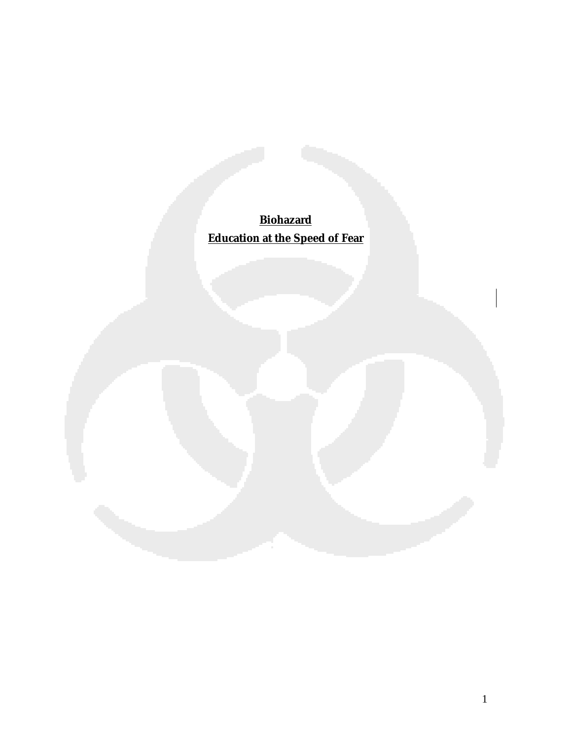**Biohazard Education at the Speed of Fear**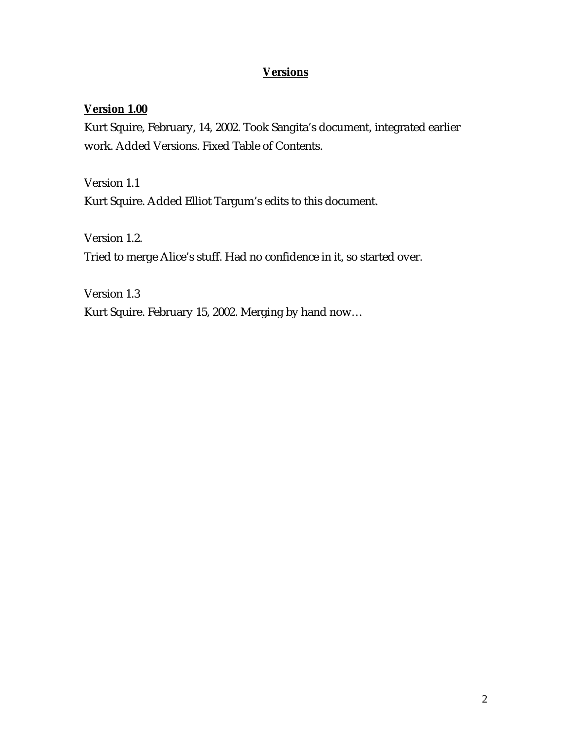## **Versions**

#### **Version 1.00**

Kurt Squire, February, 14, 2002. Took Sangita's document, integrated earlier work. Added Versions. Fixed Table of Contents.

Version 1.1 Kurt Squire. Added Elliot Targum's edits to this document.

Version 1.2. Tried to merge Alice's stuff. Had no confidence in it, so started over.

Version 1.3 Kurt Squire. February 15, 2002. Merging by hand now…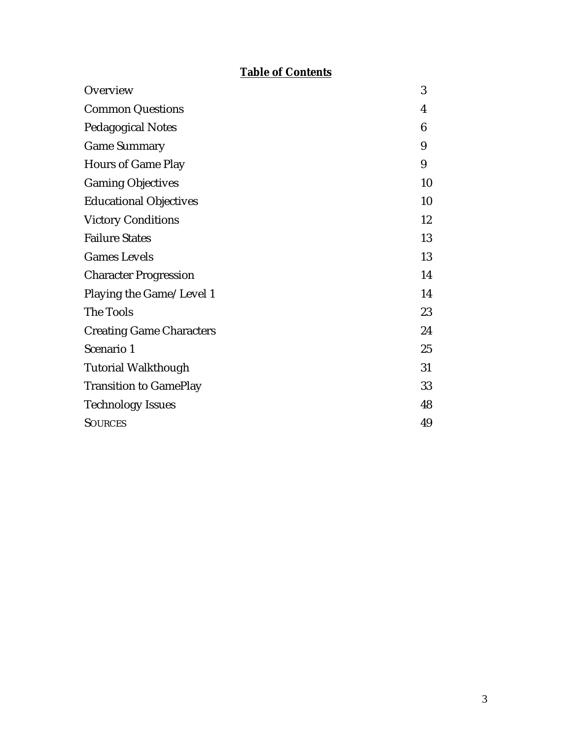# **Table of Contents**

| Overview                        | 3  |
|---------------------------------|----|
| <b>Common Questions</b>         | 4  |
| <b>Pedagogical Notes</b>        | 6  |
| <b>Game Summary</b>             | 9  |
| <b>Hours of Game Play</b>       | 9  |
| <b>Gaming Objectives</b>        | 10 |
| <b>Educational Objectives</b>   | 10 |
| <b>Victory Conditions</b>       | 12 |
| <b>Failure States</b>           | 13 |
| <b>Games Levels</b>             | 13 |
| <b>Character Progression</b>    | 14 |
| Playing the Game/Level 1        | 14 |
| The Tools                       | 23 |
| <b>Creating Game Characters</b> | 24 |
| Scenario 1                      | 25 |
| <b>Tutorial Walkthough</b>      | 31 |
| <b>Transition to GamePlay</b>   | 33 |
| <b>Technology Issues</b>        | 48 |
| <b>SOURCES</b>                  | 49 |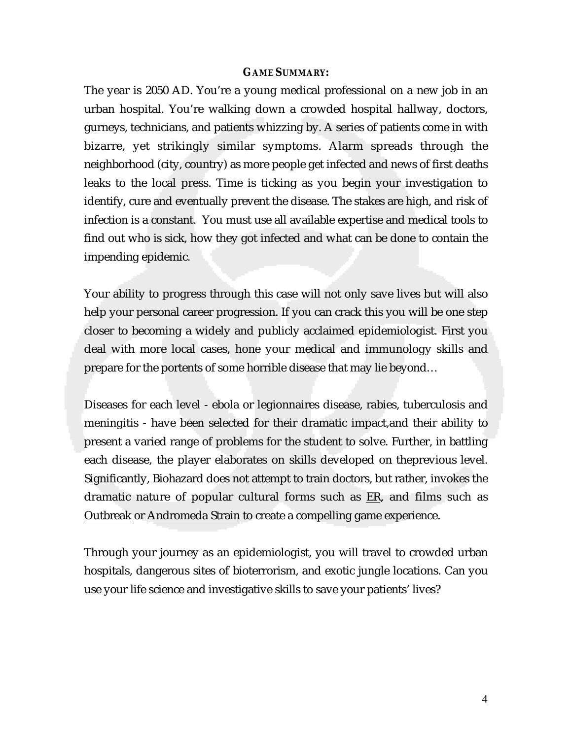#### **GAME SUMMARY:**

The year is 2050 AD. You're a young medical professional on a new job in an urban hospital. You're walking down a crowded hospital hallway, doctors, gurneys, technicians, and patients whizzing by. A series of patients come in with bizarre, yet strikingly similar symptoms. Alarm spreads through the neighborhood (city, country) as more people get infected and news of first deaths leaks to the local press. Time is ticking as you begin your investigation to identify, cure and eventually prevent the disease. The stakes are high, and risk of infection is a constant. You must use all available expertise and medical tools to find out who is sick, how they got infected and what can be done to contain the impending epidemic.

Your ability to progress through this case will not only save lives but will also help your personal career progression. If you can crack this you will be one step closer to becoming a widely and publicly acclaimed epidemiologist. First you deal with more local cases, hone your medical and immunology skills and prepare for the portents of some horrible disease that may lie beyond…

Diseases for each level - ebola or legionnaires disease, rabies, tuberculosis and meningitis - have been selected for their dramatic impact,and their ability to present a varied range of problems for the student to solve. Further, in battling each disease, the player elaborates on skills developed on theprevious level. Significantly, Biohazard does not attempt to train doctors, but rather, invokes the dramatic nature of popular cultural forms such as ER, and films such as Outbreak or Andromeda Strain to create a compelling game experience.

Through your journey as an epidemiologist, you will travel to crowded urban hospitals, dangerous sites of bioterrorism, and exotic jungle locations. Can you use your life science and investigative skills to save your patients' lives?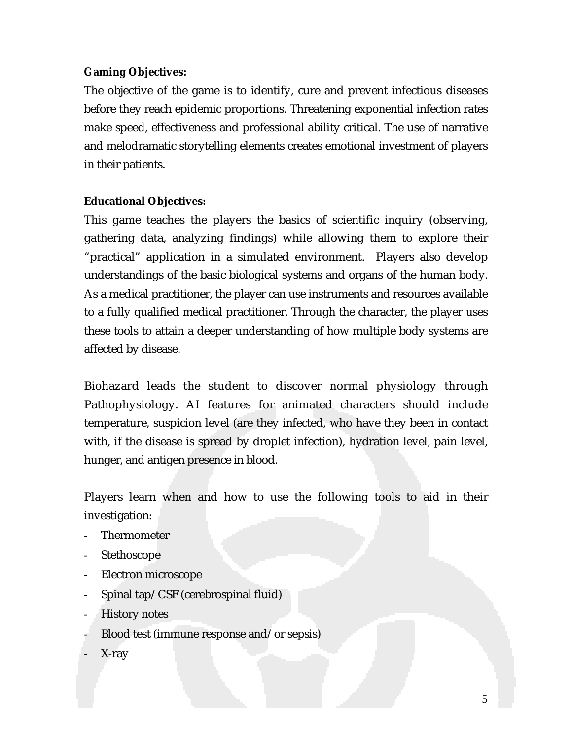#### **Gaming Objectives:**

The objective of the game is to identify, cure and prevent infectious diseases before they reach epidemic proportions. Threatening exponential infection rates make speed, effectiveness and professional ability critical. The use of narrative and melodramatic storytelling elements creates emotional investment of players in their patients.

#### **Educational Objectives:**

This game teaches the players the basics of scientific inquiry (observing, gathering data, analyzing findings) while allowing them to explore their "practical" application in a simulated environment. Players also develop understandings of the basic biological systems and organs of the human body. As a medical practitioner, the player can use instruments and resources available to a fully qualified medical practitioner. Through the character, the player uses these tools to attain a deeper understanding of how multiple body systems are affected by disease.

Biohazard leads the student to discover normal physiology through Pathophysiology. AI features for animated characters should include temperature, suspicion level (are they infected, who have they been in contact with, if the disease is spread by droplet infection), hydration level, pain level, hunger, and antigen presence in blood.

Players learn when and how to use the following tools to aid in their investigation:

- **Thermometer**
- Stethoscope
- Electron microscope
- Spinal tap/CSF (cerebrospinal fluid)
- History notes
- Blood test (immune response and/or sepsis)
- X-ray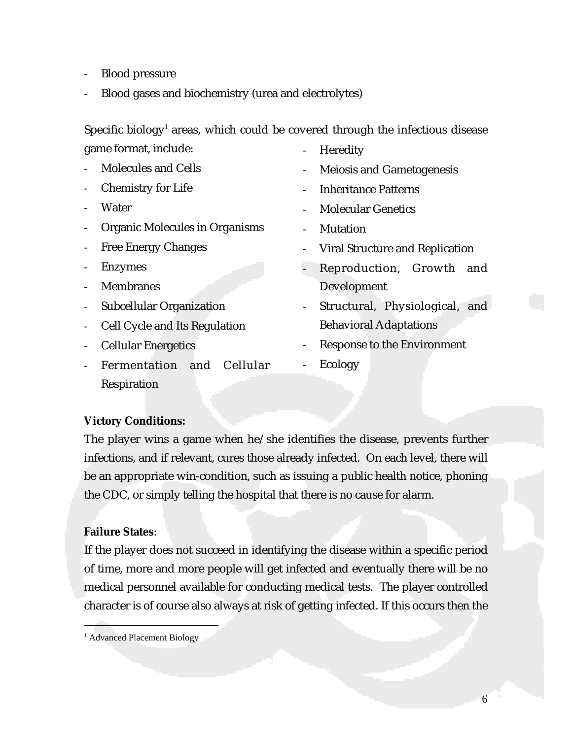- Blood pressure
- Blood gases and biochemistry (urea and electrolytes)

Specific biology<sup>1</sup> areas, which could be covered through the infectious disease game format, include:

- Molecules and Cells
	- Chemistry for Life
	- **Water**
	- Organic Molecules in Organisms
	- Free Energy Changes
	- **Enzymes**
	- Membranes
	- Subcellular Organization
	- Cell Cycle and Its Regulation
	- Cellular Energetics
	- Fermentation and Cellular Respiration
- **Heredity**
- Meiosis and Gametogenesis
- Inheritance Patterns
- Molecular Genetics
- Mutation
- Viral Structure and Replication
- Reproduction, Growth and Development
- Structural, Physiological, and Behavioral Adaptations
- Response to the Environment
- **Ecology**

#### **Victory Conditions:**

The player wins a game when he/she identifies the disease, prevents further infections, and if relevant, cures those already infected. On each level, there will be an appropriate win-condition, such as issuing a public health notice, phoning the CDC, or simply telling the hospital that there is no cause for alarm.

#### **Failure States**:

If the player does not succeed in identifying the disease within a specific period of time, more and more people will get infected and eventually there will be no medical personnel available for conducting medical tests. The player controlled character is of course also always at risk of getting infected. If this occurs then the

|<br>|<br>1 <sup>1</sup> Advanced Placement Biology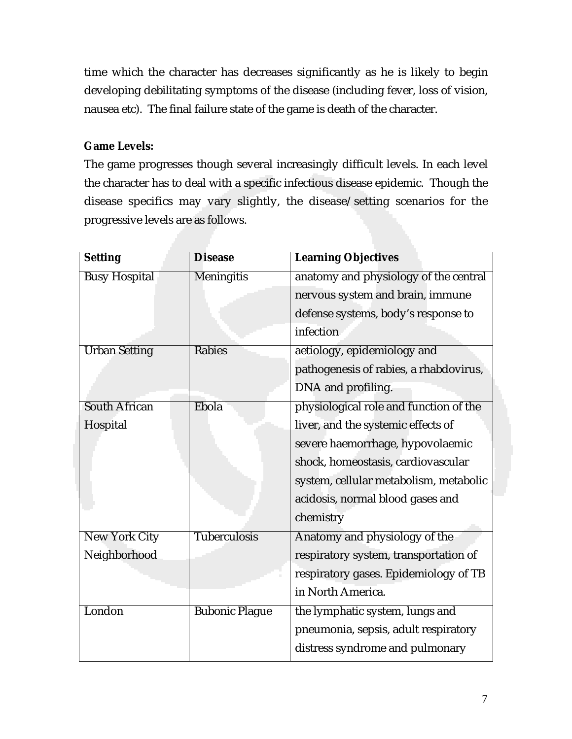time which the character has decreases significantly as he is likely to begin developing debilitating symptoms of the disease (including fever, loss of vision, nausea etc). The final failure state of the game is death of the character.

## **Game Levels:**

The game progresses though several increasingly difficult levels. In each level the character has to deal with a specific infectious disease epidemic. Though the disease specifics may vary slightly, the disease/setting scenarios for the progressive levels are as follows.

| <b>Setting</b>       | <b>Disease</b>        | <b>Learning Objectives</b>             |
|----------------------|-----------------------|----------------------------------------|
| <b>Busy Hospital</b> | <b>Meningitis</b>     | anatomy and physiology of the central  |
|                      |                       | nervous system and brain, immune       |
|                      |                       | defense systems, body's response to    |
|                      |                       | infection                              |
| <b>Urban Setting</b> | Rabies                | aetiology, epidemiology and            |
|                      |                       | pathogenesis of rabies, a rhabdovirus, |
|                      |                       | DNA and profiling.                     |
| <b>South African</b> | Ebola                 | physiological role and function of the |
| Hospital             |                       | liver, and the systemic effects of     |
|                      |                       | severe haemorrhage, hypovolaemic       |
|                      |                       | shock, homeostasis, cardiovascular     |
|                      |                       | system, cellular metabolism, metabolic |
|                      |                       | acidosis, normal blood gases and       |
|                      |                       | chemistry                              |
| <b>New York City</b> | <b>Tuberculosis</b>   | Anatomy and physiology of the          |
| Neighborhood         |                       | respiratory system, transportation of  |
|                      |                       | respiratory gases. Epidemiology of TB  |
|                      |                       | in North America.                      |
| London               | <b>Bubonic Plague</b> | the lymphatic system, lungs and        |
|                      |                       | pneumonia, sepsis, adult respiratory   |
|                      |                       | distress syndrome and pulmonary        |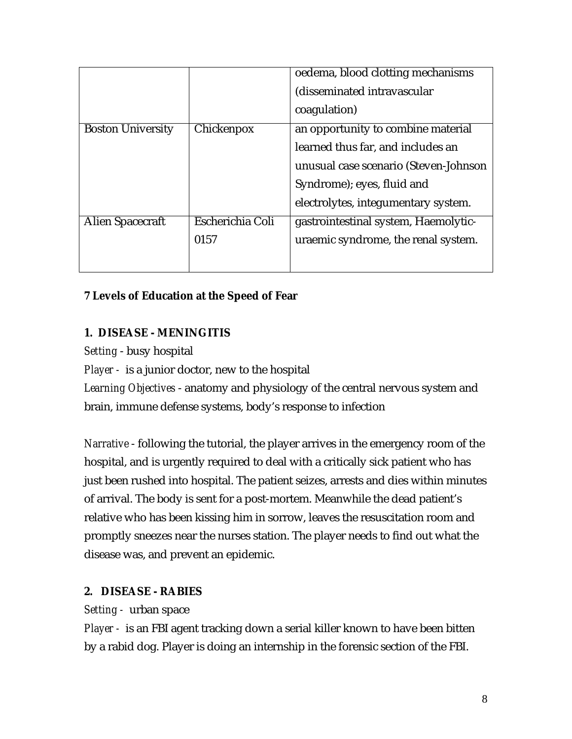|                          |                  | oedema, blood clotting mechanisms     |
|--------------------------|------------------|---------------------------------------|
|                          |                  | (disseminated intravascular           |
|                          |                  | coagulation)                          |
| <b>Boston University</b> | Chickenpox       | an opportunity to combine material    |
|                          |                  | learned thus far, and includes an     |
|                          |                  | unusual case scenario (Steven-Johnson |
|                          |                  | Syndrome); eyes, fluid and            |
|                          |                  | electrolytes, integumentary system.   |
| Alien Spacecraft         | Escherichia Coli | gastrointestinal system, Haemolytic-  |
|                          | 0157             | uraemic syndrome, the renal system.   |
|                          |                  |                                       |

## **7 Levels of Education at the Speed of Fear**

## **1. DISEASE - MENINGITIS**

*Setting* - busy hospital

*Player -* is a junior doctor, new to the hospital

*Learning Objectives* - anatomy and physiology of the central nervous system and brain, immune defense systems, body's response to infection

*Narrative* - following the tutorial, the player arrives in the emergency room of the hospital, and is urgently required to deal with a critically sick patient who has just been rushed into hospital. The patient seizes, arrests and dies within minutes of arrival. The body is sent for a post-mortem. Meanwhile the dead patient's relative who has been kissing him in sorrow, leaves the resuscitation room and promptly sneezes near the nurses station. The player needs to find out what the disease was, and prevent an epidemic.

#### **2. DISEASE - RABIES**

#### *Setting -* urban space

*Player -* is an FBI agent tracking down a serial killer known to have been bitten by a rabid dog. Player is doing an internship in the forensic section of the FBI.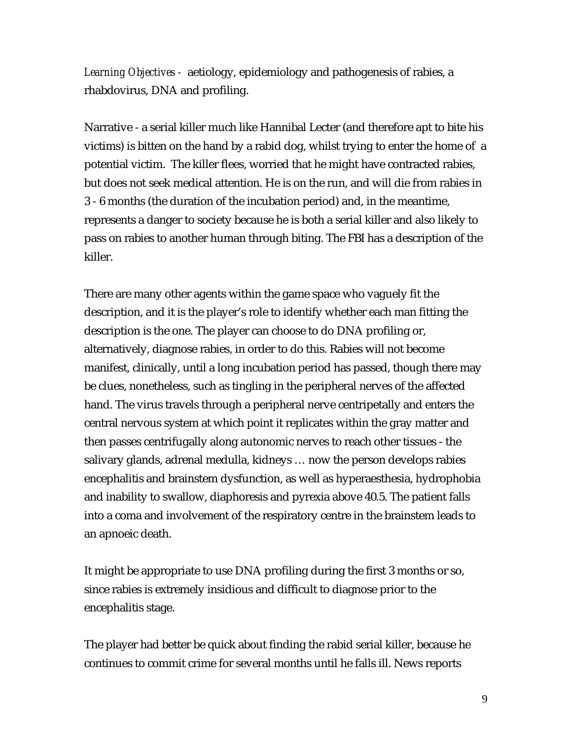*Learning Objectives -* aetiology, epidemiology and pathogenesis of rabies, a rhabdovirus, DNA and profiling.

Narrative - a serial killer much like Hannibal Lecter (and therefore apt to bite his victims) is bitten on the hand by a rabid dog, whilst trying to enter the home of a potential victim. The killer flees, worried that he might have contracted rabies, but does not seek medical attention. He is on the run, and will die from rabies in 3 - 6 months (the duration of the incubation period) and, in the meantime, represents a danger to society because he is both a serial killer and also likely to pass on rabies to another human through biting. The FBI has a description of the killer.

There are many other agents within the game space who vaguely fit the description, and it is the player's role to identify whether each man fitting the description is the one. The player can choose to do DNA profiling or, alternatively, diagnose rabies, in order to do this. Rabies will not become manifest, clinically, until a long incubation period has passed, though there may be clues, nonetheless, such as tingling in the peripheral nerves of the affected hand. The virus travels through a peripheral nerve centripetally and enters the central nervous system at which point it replicates within the gray matter and then passes centrifugally along autonomic nerves to reach other tissues - the salivary glands, adrenal medulla, kidneys … now the person develops rabies encephalitis and brainstem dysfunction, as well as hyperaesthesia, hydrophobia and inability to swallow, diaphoresis and pyrexia above 40.5. The patient falls into a coma and involvement of the respiratory centre in the brainstem leads to an apnoeic death.

It might be appropriate to use DNA profiling during the first 3 months or so, since rabies is extremely insidious and difficult to diagnose prior to the encephalitis stage.

The player had better be quick about finding the rabid serial killer, because he continues to commit crime for several months until he falls ill. News reports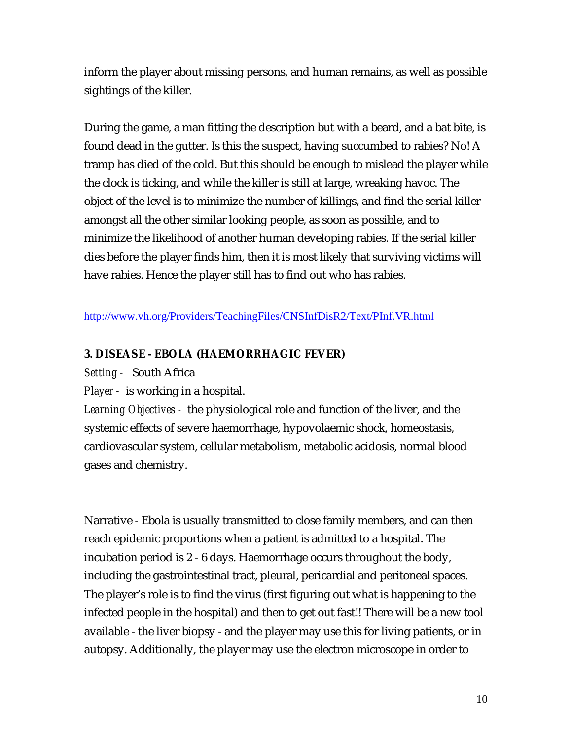inform the player about missing persons, and human remains, as well as possible sightings of the killer.

During the game, a man fitting the description but with a beard, and a bat bite, is found dead in the gutter. Is this the suspect, having succumbed to rabies? No! A tramp has died of the cold. But this should be enough to mislead the player while the clock is ticking, and while the killer is still at large, wreaking havoc. The object of the level is to minimize the number of killings, and find the serial killer amongst all the other similar looking people, as soon as possible, and to minimize the likelihood of another human developing rabies. If the serial killer dies before the player finds him, then it is most likely that surviving victims will have rabies. Hence the player still has to find out who has rabies.

http://www.vh.org/Providers/TeachingFiles/CNSInfDisR2/Text/PInf.VR.html

#### **3. DISEASE - EBOLA (HAEMORRHAGIC FEVER)**

*Setting -* South Africa

*Player -* is working in a hospital.

*Learning Objectives -* the physiological role and function of the liver, and the systemic effects of severe haemorrhage, hypovolaemic shock, homeostasis, cardiovascular system, cellular metabolism, metabolic acidosis, normal blood gases and chemistry.

Narrative - Ebola is usually transmitted to close family members, and can then reach epidemic proportions when a patient is admitted to a hospital. The incubation period is 2 - 6 days. Haemorrhage occurs throughout the body, including the gastrointestinal tract, pleural, pericardial and peritoneal spaces. The player's role is to find the virus (first figuring out what is happening to the infected people in the hospital) and then to get out fast!! There will be a new tool available - the liver biopsy - and the player may use this for living patients, or in autopsy. Additionally, the player may use the electron microscope in order to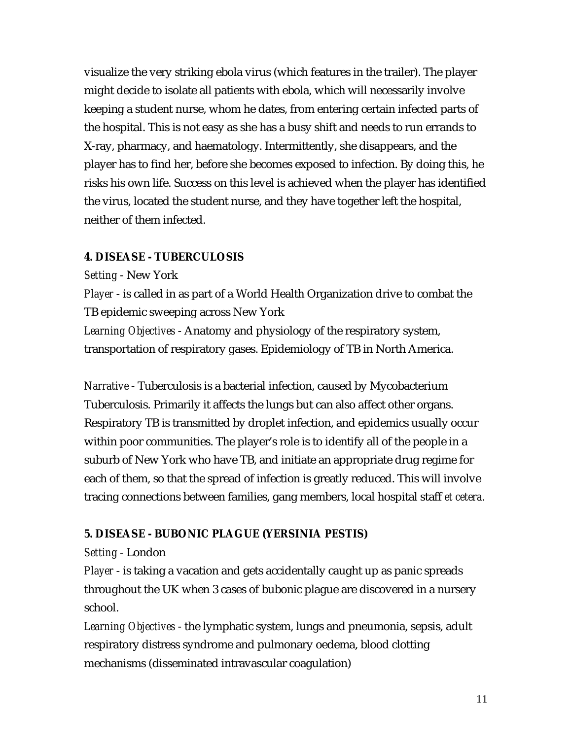visualize the very striking ebola virus (which features in the trailer). The player might decide to isolate all patients with ebola, which will necessarily involve keeping a student nurse, whom he dates, from entering certain infected parts of the hospital. This is not easy as she has a busy shift and needs to run errands to X-ray, pharmacy, and haematology. Intermittently, she disappears, and the player has to find her, before she becomes exposed to infection. By doing this, he risks his own life. Success on this level is achieved when the player has identified the virus, located the student nurse, and they have together left the hospital, neither of them infected.

#### **4. DISEASE - TUBERCULOSIS**

*Setting* - New York

*Player* - is called in as part of a World Health Organization drive to combat the TB epidemic sweeping across New York

*Learning Objectives* - Anatomy and physiology of the respiratory system, transportation of respiratory gases. Epidemiology of TB in North America.

*Narrative* - Tuberculosis is a bacterial infection, caused by Mycobacterium Tuberculosis. Primarily it affects the lungs but can also affect other organs. Respiratory TB is transmitted by droplet infection, and epidemics usually occur within poor communities. The player's role is to identify all of the people in a suburb of New York who have TB, and initiate an appropriate drug regime for each of them, so that the spread of infection is greatly reduced. This will involve tracing connections between families, gang members, local hospital staff *et cetera*.

#### **5. DISEASE - BUBONIC PLAGUE (YERSINIA PESTIS)**

#### *Setting* - London

*Player* - is taking a vacation and gets accidentally caught up as panic spreads throughout the UK when 3 cases of bubonic plague are discovered in a nursery school.

*Learning Objectives* - the lymphatic system, lungs and pneumonia, sepsis, adult respiratory distress syndrome and pulmonary oedema, blood clotting mechanisms (disseminated intravascular coagulation)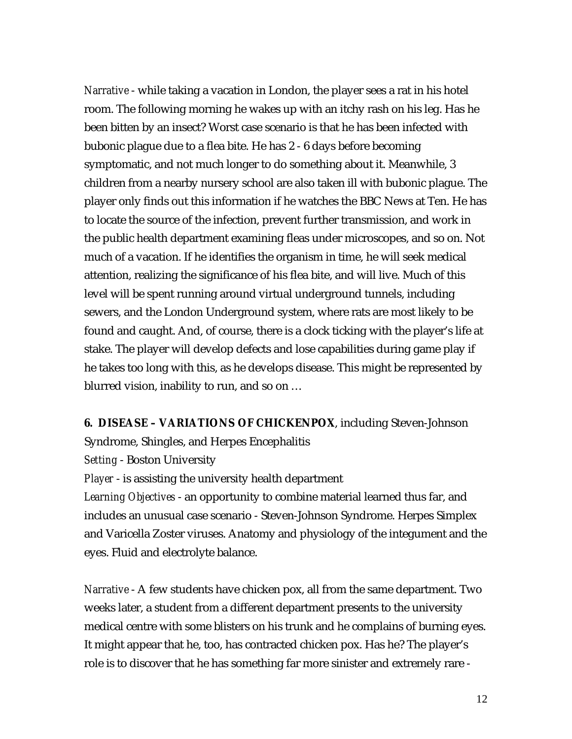*Narrative* - while taking a vacation in London, the player sees a rat in his hotel room. The following morning he wakes up with an itchy rash on his leg. Has he been bitten by an insect? Worst case scenario is that he has been infected with bubonic plague due to a flea bite. He has 2 - 6 days before becoming symptomatic, and not much longer to do something about it. Meanwhile, 3 children from a nearby nursery school are also taken ill with bubonic plague. The player only finds out this information if he watches the BBC News at Ten. He has to locate the source of the infection, prevent further transmission, and work in the public health department examining fleas under microscopes, and so on. Not much of a vacation. If he identifies the organism in time, he will seek medical attention, realizing the significance of his flea bite, and will live. Much of this level will be spent running around virtual underground tunnels, including sewers, and the London Underground system, where rats are most likely to be found and caught. And, of course, there is a clock ticking with the player's life at stake. The player will develop defects and lose capabilities during game play if he takes too long with this, as he develops disease. This might be represented by blurred vision, inability to run, and so on …

**6. DISEASE – VARIATIONS OF CHICKENPOX**, including Steven-Johnson Syndrome, Shingles, and Herpes Encephalitis

*Setting* - Boston University

*Player* - is assisting the university health department

*Learning Objectives* - an opportunity to combine material learned thus far, and includes an unusual case scenario - Steven-Johnson Syndrome. Herpes Simplex and Varicella Zoster viruses. Anatomy and physiology of the integument and the eyes. Fluid and electrolyte balance.

*Narrative* - A few students have chicken pox, all from the same department. Two weeks later, a student from a different department presents to the university medical centre with some blisters on his trunk and he complains of burning eyes. It might appear that he, too, has contracted chicken pox. Has he? The player's role is to discover that he has something far more sinister and extremely rare -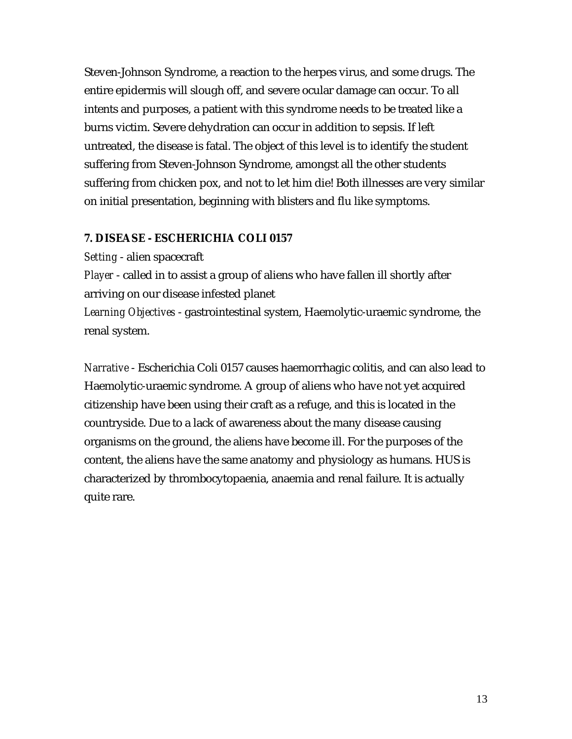Steven-Johnson Syndrome, a reaction to the herpes virus, and some drugs. The entire epidermis will slough off, and severe ocular damage can occur. To all intents and purposes, a patient with this syndrome needs to be treated like a burns victim. Severe dehydration can occur in addition to sepsis. If left untreated, the disease is fatal. The object of this level is to identify the student suffering from Steven-Johnson Syndrome, amongst all the other students suffering from chicken pox, and not to let him die! Both illnesses are very similar on initial presentation, beginning with blisters and flu like symptoms.

#### **7. DISEASE - ESCHERICHIA COLI 0157**

*Setting* - alien spacecraft

*Player* - called in to assist a group of aliens who have fallen ill shortly after arriving on our disease infested planet

*Learning Objectives* - gastrointestinal system, Haemolytic-uraemic syndrome, the renal system.

*Narrative* - Escherichia Coli 0157 causes haemorrhagic colitis, and can also lead to Haemolytic-uraemic syndrome. A group of aliens who have not yet acquired citizenship have been using their craft as a refuge, and this is located in the countryside. Due to a lack of awareness about the many disease causing organisms on the ground, the aliens have become ill. For the purposes of the content, the aliens have the same anatomy and physiology as humans. HUS is characterized by thrombocytopaenia, anaemia and renal failure. It is actually quite rare.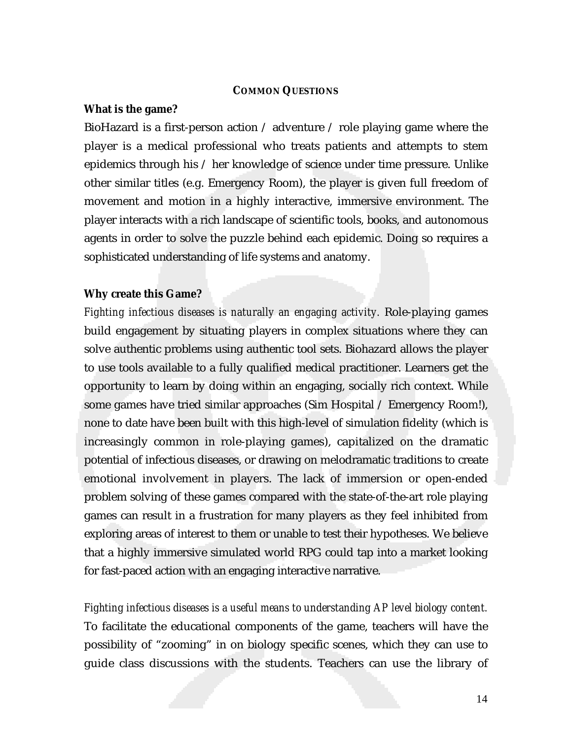#### **COMMON QUESTIONS**

#### **What is the game?**

BioHazard is a first-person action / adventure / role playing game where the player is a medical professional who treats patients and attempts to stem epidemics through his / her knowledge of science under time pressure. Unlike other similar titles (e.g. Emergency Room), the player is given full freedom of movement and motion in a highly interactive, immersive environment. The player interacts with a rich landscape of scientific tools, books, and autonomous agents in order to solve the puzzle behind each epidemic. Doing so requires a sophisticated understanding of life systems and anatomy.

#### **Why create this Game?**

*Fighting infectious diseases is naturally an engaging activity.* Role-playing games build engagement by situating players in complex situations where they can solve authentic problems using authentic tool sets. Biohazard allows the player to use tools available to a fully qualified medical practitioner. Learners get the opportunity to learn by doing within an engaging, socially rich context. While some games have tried similar approaches (Sim Hospital / Emergency Room!), none to date have been built with this high-level of simulation fidelity (which is increasingly common in role-playing games), capitalized on the dramatic potential of infectious diseases, or drawing on melodramatic traditions to create emotional involvement in players. The lack of immersion or open-ended problem solving of these games compared with the state-of-the-art role playing games can result in a frustration for many players as they feel inhibited from exploring areas of interest to them or unable to test their hypotheses. We believe that a highly immersive simulated world RPG could tap into a market looking for fast-paced action with an engaging interactive narrative.

*Fighting infectious diseases is a useful means to understanding AP level biology content.* To facilitate the educational components of the game, teachers will have the possibility of "zooming" in on biology specific scenes, which they can use to guide class discussions with the students. Teachers can use the library of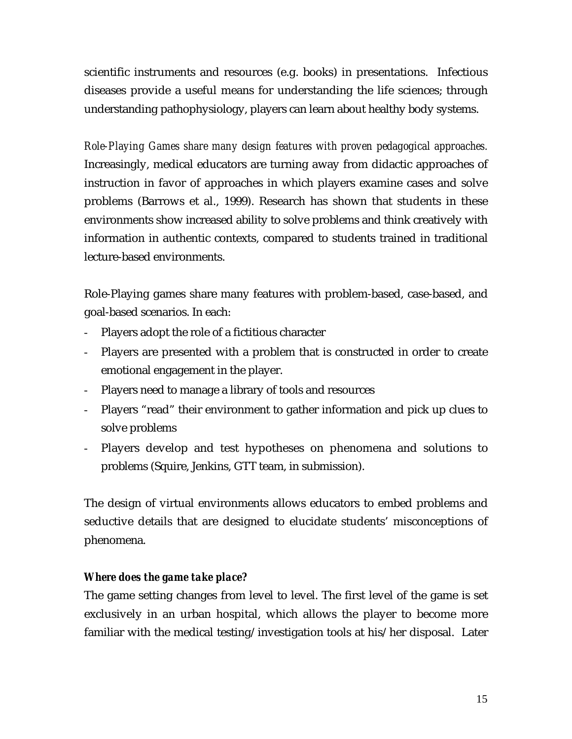scientific instruments and resources (e.g. books) in presentations. Infectious diseases provide a useful means for understanding the life sciences; through understanding pathophysiology, players can learn about healthy body systems.

*Role-Playing Games share many design features with proven pedagogical approaches.* Increasingly, medical educators are turning away from didactic approaches of instruction in favor of approaches in which players examine cases and solve problems (Barrows et al., 1999). Research has shown that students in these environments show increased ability to solve problems and think creatively with information in authentic contexts, compared to students trained in traditional lecture-based environments.

Role-Playing games share many features with problem-based, case-based, and goal-based scenarios. In each:

- Players adopt the role of a fictitious character
- Players are presented with a problem that is constructed in order to create emotional engagement in the player.
- Players need to manage a library of tools and resources
- Players "read" their environment to gather information and pick up clues to solve problems
- Players develop and test hypotheses on phenomena and solutions to problems (Squire, Jenkins, GTT team, in submission).

The design of virtual environments allows educators to embed problems and seductive details that are designed to elucidate students' misconceptions of phenomena.

## *Where does the game take place?*

The game setting changes from level to level. The first level of the game is set exclusively in an urban hospital, which allows the player to become more familiar with the medical testing/investigation tools at his/her disposal. Later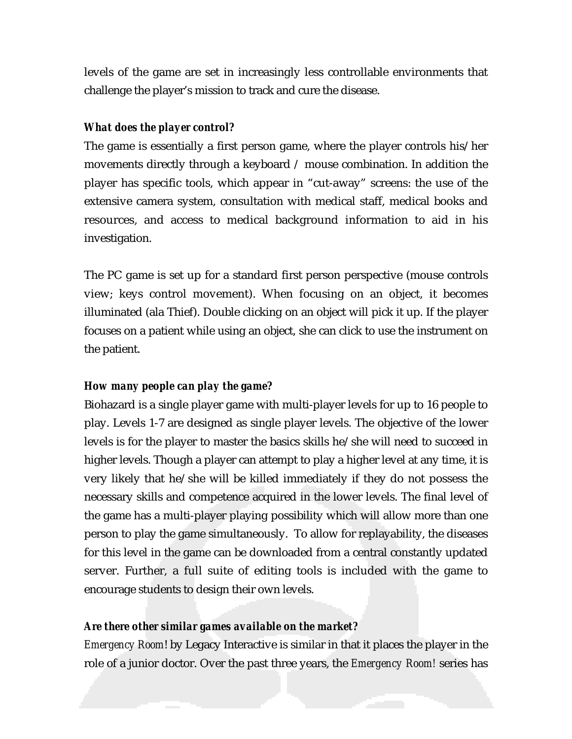levels of the game are set in increasingly less controllable environments that challenge the player's mission to track and cure the disease.

#### *What does the player control?*

The game is essentially a first person game, where the player controls his/her movements directly through a keyboard / mouse combination. In addition the player has specific tools, which appear in "cut-away" screens: the use of the extensive camera system, consultation with medical staff, medical books and resources, and access to medical background information to aid in his investigation.

The PC game is set up for a standard first person perspective (mouse controls view; keys control movement). When focusing on an object, it becomes illuminated (ala Thief). Double clicking on an object will pick it up. If the player focuses on a patient while using an object, she can click to use the instrument on the patient.

#### *How many people can play the game?*

Biohazard is a single player game with multi-player levels for up to 16 people to play. Levels 1-7 are designed as single player levels. The objective of the lower levels is for the player to master the basics skills he/she will need to succeed in higher levels. Though a player can attempt to play a higher level at any time, it is very likely that he/she will be killed immediately if they do not possess the necessary skills and competence acquired in the lower levels. The final level of the game has a multi-player playing possibility which will allow more than one person to play the game simultaneously. To allow for replayability, the diseases for this level in the game can be downloaded from a central constantly updated server. Further, a full suite of editing tools is included with the game to encourage students to design their own levels.

#### *Are there other similar games available on the market?*

*Emergency Room*! by Legacy Interactive is similar in that it places the player in the role of a junior doctor. Over the past three years, the *Emergency Room!* series has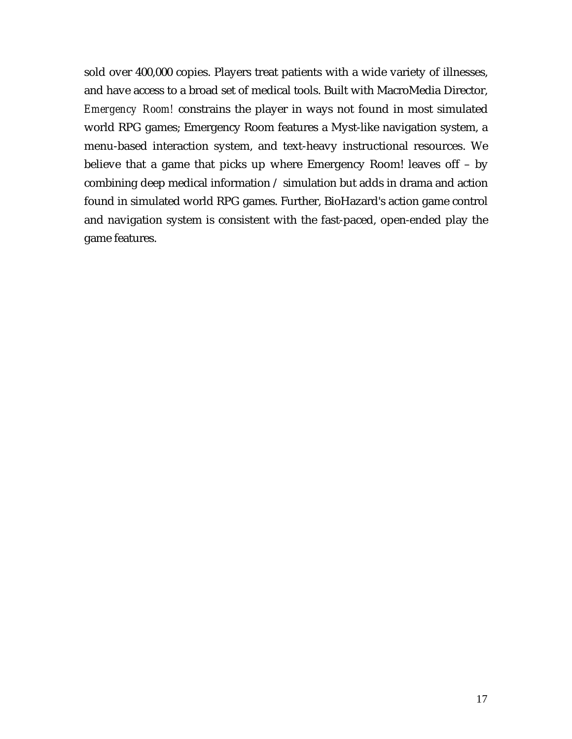sold over 400,000 copies. Players treat patients with a wide variety of illnesses, and have access to a broad set of medical tools. Built with MacroMedia Director, *Emergency Room!* constrains the player in ways not found in most simulated world RPG games; Emergency Room features a Myst-like navigation system, a menu-based interaction system, and text-heavy instructional resources. We believe that a game that picks up where Emergency Room! leaves off – by combining deep medical information / simulation but adds in drama and action found in simulated world RPG games. Further, BioHazard's action game control and navigation system is consistent with the fast-paced, open-ended play the game features.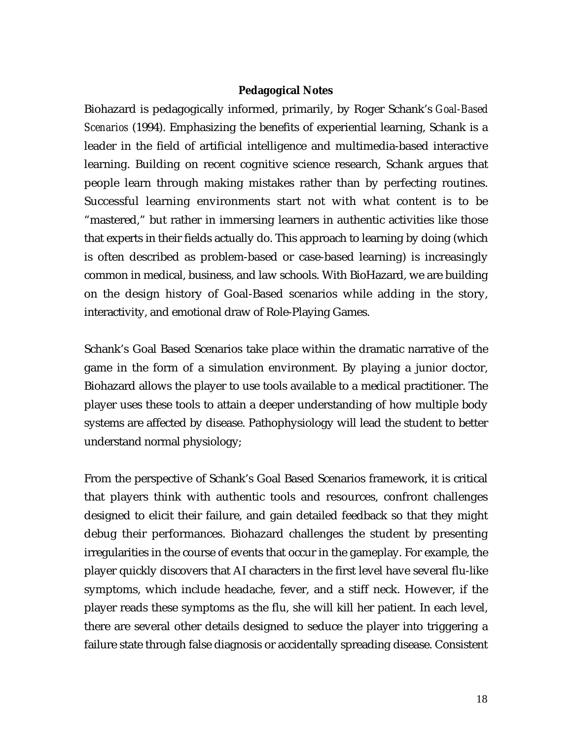#### **Pedagogical Notes**

Biohazard is pedagogically informed, primarily, by Roger Schank's *Goal-Based Scenarios* (1994). Emphasizing the benefits of experiential learning, Schank is a leader in the field of artificial intelligence and multimedia-based interactive learning. Building on recent cognitive science research, Schank argues that people learn through making mistakes rather than by perfecting routines. Successful learning environments start not with what content is to be "mastered," but rather in immersing learners in authentic activities like those that experts in their fields actually do. This approach to learning by doing (which is often described as problem-based or case-based learning) is increasingly common in medical, business, and law schools. With BioHazard, we are building on the design history of Goal-Based scenarios while adding in the story, interactivity, and emotional draw of Role-Playing Games.

Schank's Goal Based Scenarios take place within the dramatic narrative of the game in the form of a simulation environment. By playing a junior doctor, Biohazard allows the player to use tools available to a medical practitioner. The player uses these tools to attain a deeper understanding of how multiple body systems are affected by disease. Pathophysiology will lead the student to better understand normal physiology;

From the perspective of Schank's Goal Based Scenarios framework, it is critical that players think with authentic tools and resources, confront challenges designed to elicit their failure, and gain detailed feedback so that they might debug their performances. Biohazard challenges the student by presenting irregularities in the course of events that occur in the gameplay. For example, the player quickly discovers that AI characters in the first level have several flu-like symptoms, which include headache, fever, and a stiff neck. However, if the player reads these symptoms as the flu, she will kill her patient. In each level, there are several other details designed to seduce the player into triggering a failure state through false diagnosis or accidentally spreading disease. Consistent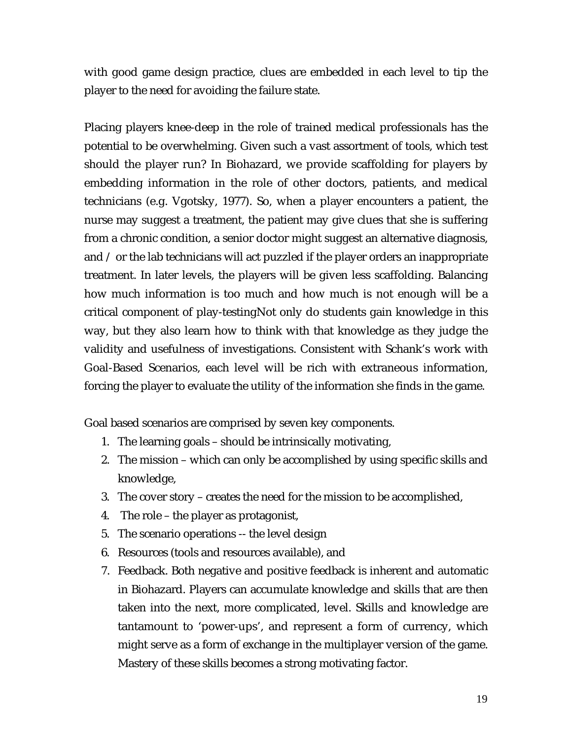with good game design practice, clues are embedded in each level to tip the player to the need for avoiding the failure state.

Placing players knee-deep in the role of trained medical professionals has the potential to be overwhelming. Given such a vast assortment of tools, which test should the player run? In Biohazard, we provide scaffolding for players by embedding information in the role of other doctors, patients, and medical technicians (e.g. Vgotsky, 1977). So, when a player encounters a patient, the nurse may suggest a treatment, the patient may give clues that she is suffering from a chronic condition, a senior doctor might suggest an alternative diagnosis, and / or the lab technicians will act puzzled if the player orders an inappropriate treatment. In later levels, the players will be given less scaffolding. Balancing how much information is too much and how much is not enough will be a critical component of play-testingNot only do students gain knowledge in this way, but they also learn how to think with that knowledge as they judge the validity and usefulness of investigations. Consistent with Schank's work with Goal-Based Scenarios, each level will be rich with extraneous information, forcing the player to evaluate the utility of the information she finds in the game.

Goal based scenarios are comprised by seven key components.

- 1. The learning goals should be intrinsically motivating,
- 2. The mission which can only be accomplished by using specific skills and knowledge,
- 3. The cover story creates the need for the mission to be accomplished,
- 4. The role the player as protagonist,
- 5. The scenario operations -- the level design
- 6. Resources (tools and resources available), and
- 7. Feedback. Both negative and positive feedback is inherent and automatic in Biohazard. Players can accumulate knowledge and skills that are then taken into the next, more complicated, level. Skills and knowledge are tantamount to 'power-ups', and represent a form of currency, which might serve as a form of exchange in the multiplayer version of the game. Mastery of these skills becomes a strong motivating factor.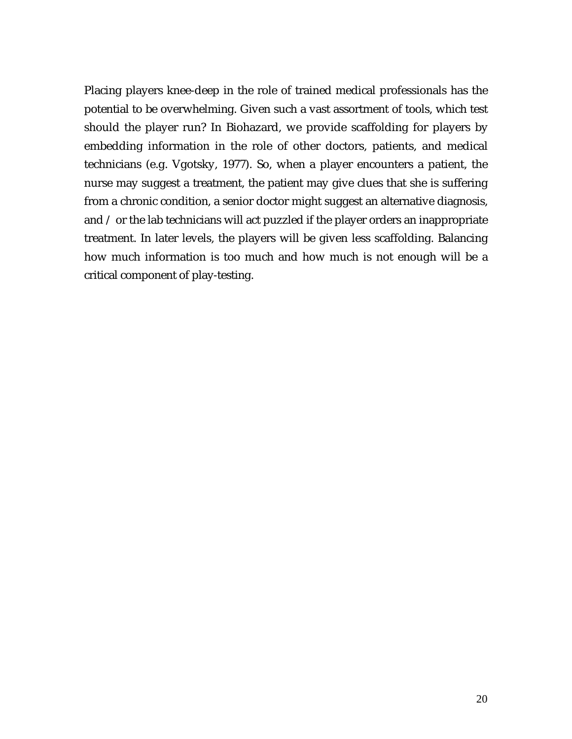Placing players knee-deep in the role of trained medical professionals has the potential to be overwhelming. Given such a vast assortment of tools, which test should the player run? In Biohazard, we provide scaffolding for players by embedding information in the role of other doctors, patients, and medical technicians (e.g. Vgotsky, 1977). So, when a player encounters a patient, the nurse may suggest a treatment, the patient may give clues that she is suffering from a chronic condition, a senior doctor might suggest an alternative diagnosis, and / or the lab technicians will act puzzled if the player orders an inappropriate treatment. In later levels, the players will be given less scaffolding. Balancing how much information is too much and how much is not enough will be a critical component of play-testing.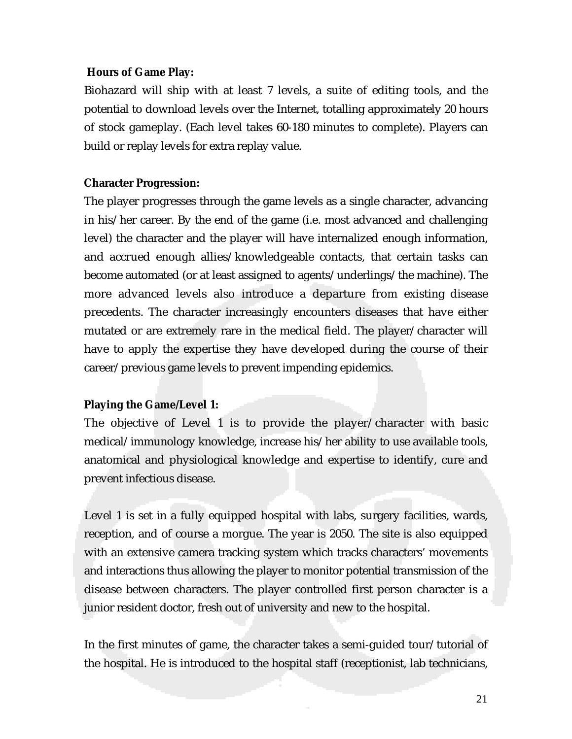#### **Hours of Game Play:**

Biohazard will ship with at least 7 levels, a suite of editing tools, and the potential to download levels over the Internet, totalling approximately 20 hours of stock gameplay. (Each level takes 60-180 minutes to complete). Players can build or replay levels for extra replay value.

#### **Character Progression:**

The player progresses through the game levels as a single character, advancing in his/her career. By the end of the game (i.e. most advanced and challenging level) the character and the player will have internalized enough information, and accrued enough allies/knowledgeable contacts, that certain tasks can become automated (or at least assigned to agents/underlings/the machine). The more advanced levels also introduce a departure from existing disease precedents. The character increasingly encounters diseases that have either mutated or are extremely rare in the medical field. The player/character will have to apply the expertise they have developed during the course of their career/previous game levels to prevent impending epidemics.

#### **Playing the Game/Level 1:**

The objective of Level 1 is to provide the player/character with basic medical/immunology knowledge, increase his/her ability to use available tools, anatomical and physiological knowledge and expertise to identify, cure and prevent infectious disease.

Level 1 is set in a fully equipped hospital with labs, surgery facilities, wards, reception, and of course a morgue. The year is 2050. The site is also equipped with an extensive camera tracking system which tracks characters' movements and interactions thus allowing the player to monitor potential transmission of the disease between characters. The player controlled first person character is a junior resident doctor, fresh out of university and new to the hospital.

In the first minutes of game, the character takes a semi-guided tour/tutorial of the hospital. He is introduced to the hospital staff (receptionist, lab technicians,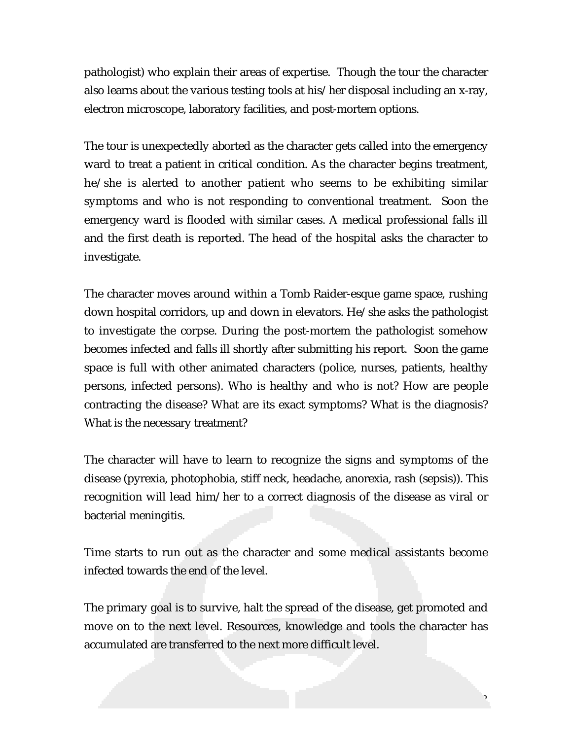pathologist) who explain their areas of expertise. Though the tour the character also learns about the various testing tools at his/her disposal including an x-ray, electron microscope, laboratory facilities, and post-mortem options.

The tour is unexpectedly aborted as the character gets called into the emergency ward to treat a patient in critical condition. As the character begins treatment, he/she is alerted to another patient who seems to be exhibiting similar symptoms and who is not responding to conventional treatment. Soon the emergency ward is flooded with similar cases. A medical professional falls ill and the first death is reported. The head of the hospital asks the character to investigate.

The character moves around within a Tomb Raider-esque game space, rushing down hospital corridors, up and down in elevators. He/she asks the pathologist to investigate the corpse. During the post-mortem the pathologist somehow becomes infected and falls ill shortly after submitting his report. Soon the game space is full with other animated characters (police, nurses, patients, healthy persons, infected persons). Who is healthy and who is not? How are people contracting the disease? What are its exact symptoms? What is the diagnosis? What is the necessary treatment?

The character will have to learn to recognize the signs and symptoms of the disease (pyrexia, photophobia, stiff neck, headache, anorexia, rash (sepsis)). This recognition will lead him/her to a correct diagnosis of the disease as viral or bacterial meningitis.

Time starts to run out as the character and some medical assistants become infected towards the end of the level.

The primary goal is to survive, halt the spread of the disease, get promoted and move on to the next level. Resources, knowledge and tools the character has accumulated are transferred to the next more difficult level.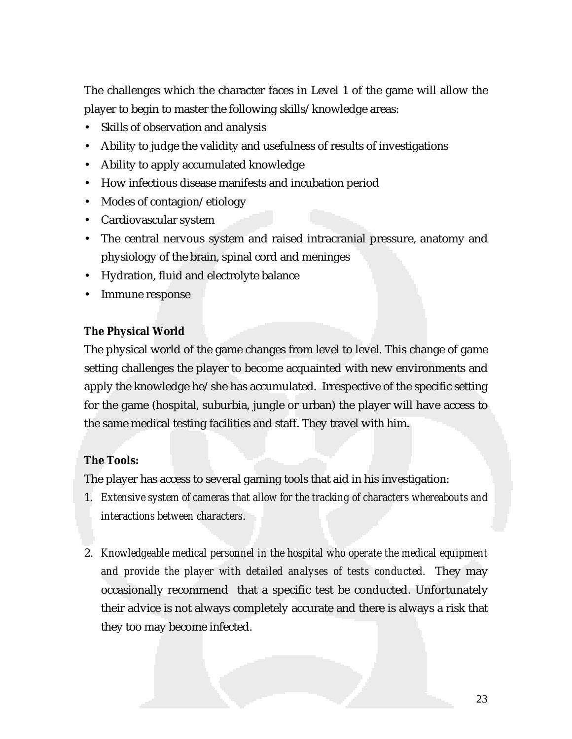The challenges which the character faces in Level 1 of the game will allow the player to begin to master the following skills/knowledge areas:

- Skills of observation and analysis
- Ability to judge the validity and usefulness of results of investigations
- Ability to apply accumulated knowledge
- How infectious disease manifests and incubation period
- Modes of contagion/etiology
- Cardiovascular system
- The central nervous system and raised intracranial pressure, anatomy and physiology of the brain, spinal cord and meninges
- Hydration, fluid and electrolyte balance
- Immune response

#### **The Physical World**

The physical world of the game changes from level to level. This change of game setting challenges the player to become acquainted with new environments and apply the knowledge he/she has accumulated. Irrespective of the specific setting for the game (hospital, suburbia, jungle or urban) the player will have access to the same medical testing facilities and staff. They travel with him.

#### **The Tools:**

The player has access to several gaming tools that aid in his investigation:

- 1. *Extensive system of cameras that allow for the tracking of characters whereabouts and interactions between characters*.
- 2. *Knowledgeable medical personnel in the hospital who operate the medical equipment and provide the player with detailed analyses of tests conducted.* They may occasionally recommend that a specific test be conducted. Unfortunately their advice is not always completely accurate and there is always a risk that they too may become infected.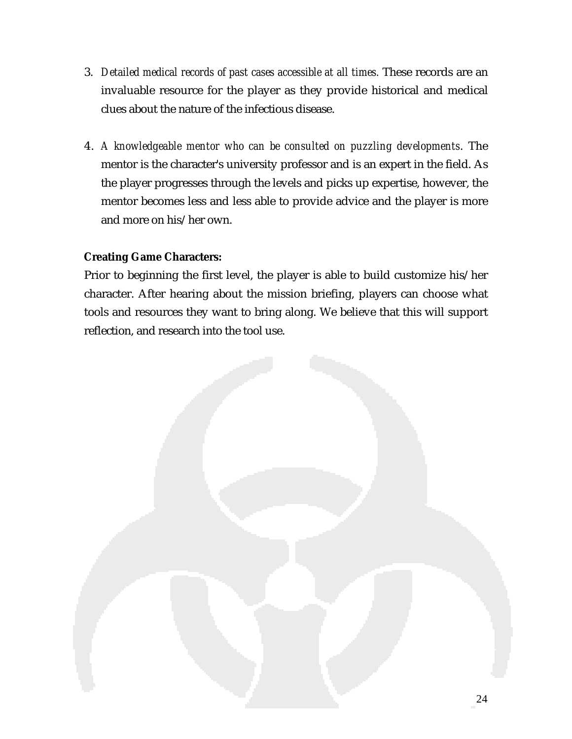- 3. *Detailed medical records of past cases accessible at all times.* These records are an invaluable resource for the player as they provide historical and medical clues about the nature of the infectious disease.
- 4. *A knowledgeable mentor who can be consulted on puzzling developments*. The mentor is the character's university professor and is an expert in the field. As the player progresses through the levels and picks up expertise, however, the mentor becomes less and less able to provide advice and the player is more and more on his/her own.

## **Creating Game Characters:**

Prior to beginning the first level, the player is able to build customize his/her character. After hearing about the mission briefing, players can choose what tools and resources they want to bring along. We believe that this will support reflection, and research into the tool use.

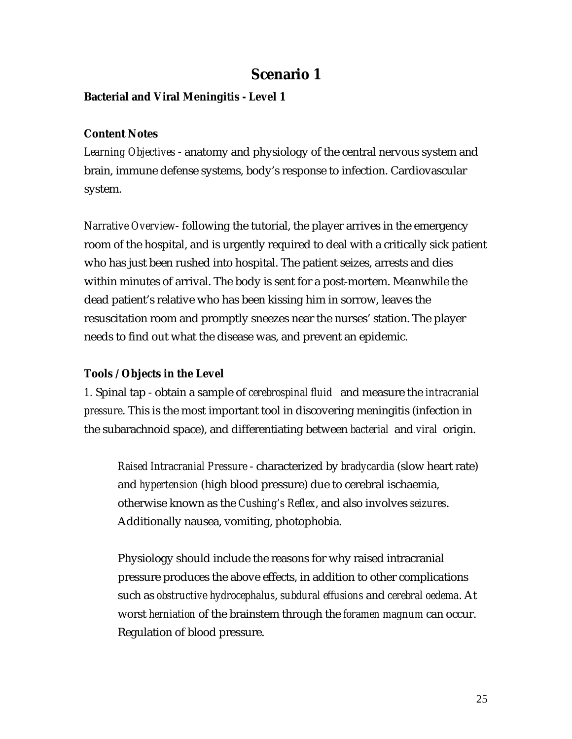# **Scenario 1**

## **Bacterial and Viral Meningitis - Level 1**

#### **Content Notes**

*Learning Objectives* - anatomy and physiology of the central nervous system and brain, immune defense systems, body's response to infection. Cardiovascular system.

*Narrative Overview*- following the tutorial, the player arrives in the emergency room of the hospital, and is urgently required to deal with a critically sick patient who has just been rushed into hospital. The patient seizes, arrests and dies within minutes of arrival. The body is sent for a post-mortem. Meanwhile the dead patient's relative who has been kissing him in sorrow, leaves the resuscitation room and promptly sneezes near the nurses' station. The player needs to find out what the disease was, and prevent an epidemic.

#### **Tools / Objects in the Level**

*1.* Spinal tap - obtain a sample of *cerebrospinal fluid* and measure the *intracranial pressure*. This is the most important tool in discovering meningitis (infection in the subarachnoid space), and differentiating between *bacterial* and *viral* origin.

*Raised Intracranial Pressure* - characterized by *bradycardia* (slow heart rate) and *hypertension* (high blood pressure) due to cerebral ischaemia, otherwise known as the *Cushing's Reflex*, and also involves *seizures*. Additionally nausea, vomiting, photophobia.

Physiology should include the reasons for why raised intracranial pressure produces the above effects, in addition to other complications such as *obstructive hydrocephalus*, *subdural effusions* and *cerebral oedema*. At worst *herniation* of the brainstem through the *foramen magnum* can occur. Regulation of blood pressure.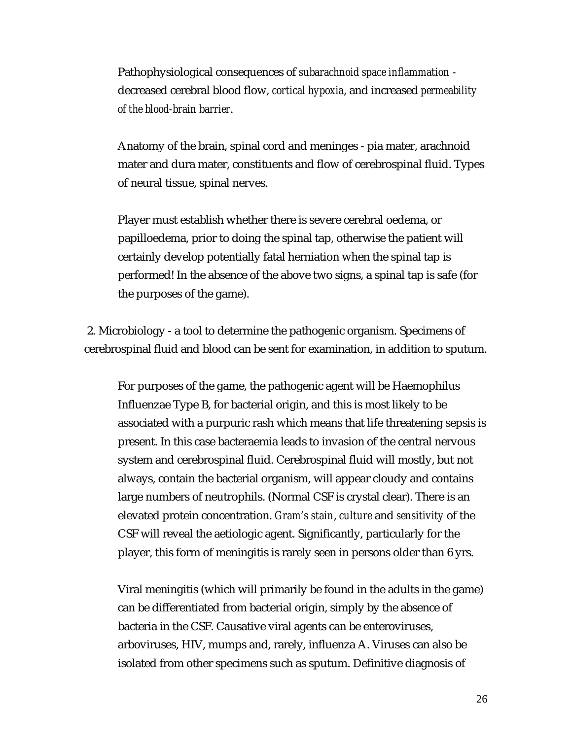Pathophysiological consequences of *subarachnoid space inflammation* decreased cerebral blood flow, *cortical hypoxia*, and increased *permeability of the blood-brain barrier*.

Anatomy of the brain, spinal cord and meninges - pia mater, arachnoid mater and dura mater, constituents and flow of cerebrospinal fluid. Types of neural tissue, spinal nerves.

Player must establish whether there is severe cerebral oedema, or papilloedema, prior to doing the spinal tap, otherwise the patient will certainly develop potentially fatal herniation when the spinal tap is performed! In the absence of the above two signs, a spinal tap is safe (for the purposes of the game).

 2. Microbiology - a tool to determine the pathogenic organism. Specimens of cerebrospinal fluid and blood can be sent for examination, in addition to sputum.

For purposes of the game, the pathogenic agent will be Haemophilus Influenzae Type B, for bacterial origin, and this is most likely to be associated with a purpuric rash which means that life threatening sepsis is present. In this case bacteraemia leads to invasion of the central nervous system and cerebrospinal fluid. Cerebrospinal fluid will mostly, but not always, contain the bacterial organism, will appear cloudy and contains large numbers of neutrophils. (Normal CSF is crystal clear). There is an elevated protein concentration. *Gram's stain*, *culture* and *sensitivity* of the CSF will reveal the aetiologic agent. Significantly, particularly for the player, this form of meningitis is rarely seen in persons older than 6 yrs.

Viral meningitis (which will primarily be found in the adults in the game) can be differentiated from bacterial origin, simply by the absence of bacteria in the CSF. Causative viral agents can be enteroviruses, arboviruses, HIV, mumps and, rarely, influenza A. Viruses can also be isolated from other specimens such as sputum. Definitive diagnosis of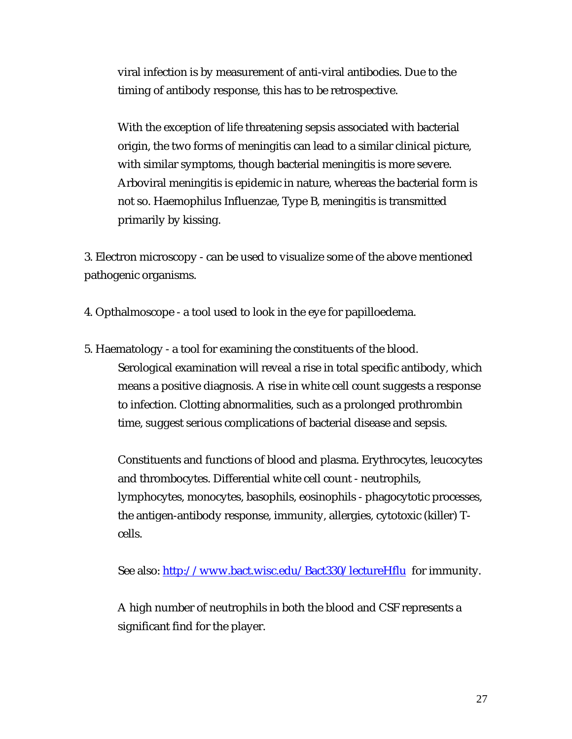viral infection is by measurement of anti-viral antibodies. Due to the timing of antibody response, this has to be retrospective.

With the exception of life threatening sepsis associated with bacterial origin, the two forms of meningitis can lead to a similar clinical picture, with similar symptoms, though bacterial meningitis is more severe. Arboviral meningitis is epidemic in nature, whereas the bacterial form is not so. Haemophilus Influenzae, Type B, meningitis is transmitted primarily by kissing.

3. Electron microscopy - can be used to visualize some of the above mentioned pathogenic organisms.

4. Opthalmoscope - a tool used to look in the eye for papilloedema.

5. Haematology - a tool for examining the constituents of the blood. Serological examination will reveal a rise in total specific antibody, which means a positive diagnosis. A rise in white cell count suggests a response to infection. Clotting abnormalities, such as a prolonged prothrombin time, suggest serious complications of bacterial disease and sepsis.

Constituents and functions of blood and plasma. Erythrocytes, leucocytes and thrombocytes. Differential white cell count - neutrophils, lymphocytes, monocytes, basophils, eosinophils - phagocytotic processes, the antigen-antibody response, immunity, allergies, cytotoxic (killer) Tcells.

See also: http://www.bact.wisc.edu/Bact330/lectureHflu for immunity.

A high number of neutrophils in both the blood and CSF represents a significant find for the player.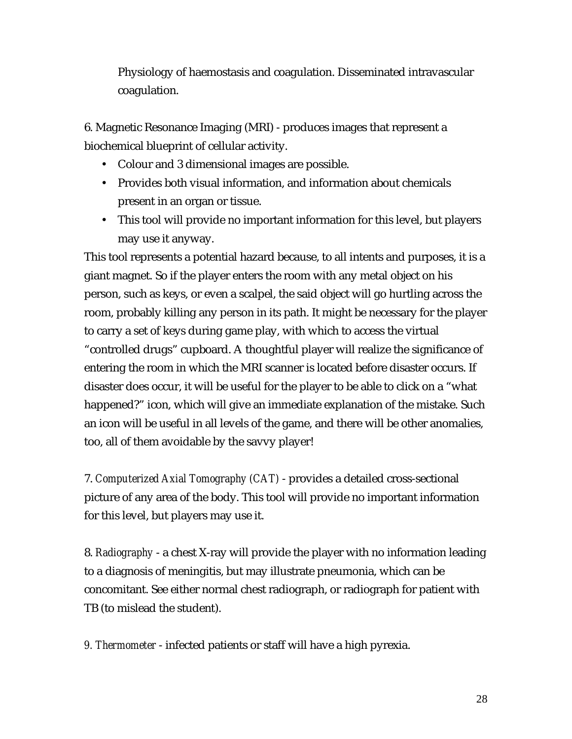Physiology of haemostasis and coagulation. Disseminated intravascular coagulation.

6. Magnetic Resonance Imaging (MRI) - produces images that represent a biochemical blueprint of cellular activity.

- Colour and 3 dimensional images are possible.
- Provides both visual information, and information about chemicals present in an organ or tissue.
- This tool will provide no important information for this level, but players may use it anyway.

This tool represents a potential hazard because, to all intents and purposes, it is a giant magnet. So if the player enters the room with any metal object on his person, such as keys, or even a scalpel, the said object will go hurtling across the room, probably killing any person in its path. It might be necessary for the player to carry a set of keys during game play, with which to access the virtual "controlled drugs" cupboard. A thoughtful player will realize the significance of entering the room in which the MRI scanner is located before disaster occurs. If disaster does occur, it will be useful for the player to be able to click on a "what happened?" icon, which will give an immediate explanation of the mistake. Such an icon will be useful in all levels of the game, and there will be other anomalies, too, all of them avoidable by the savvy player!

7. *Computerized Axial Tomography (CAT)* - provides a detailed cross-sectional picture of any area of the body. This tool will provide no important information for this level, but players may use it.

8. *Radiography* - a chest X-ray will provide the player with no information leading to a diagnosis of meningitis, but may illustrate pneumonia, which can be concomitant. See either normal chest radiograph, or radiograph for patient with TB (to mislead the student).

*9. Thermometer* - infected patients or staff will have a high pyrexia.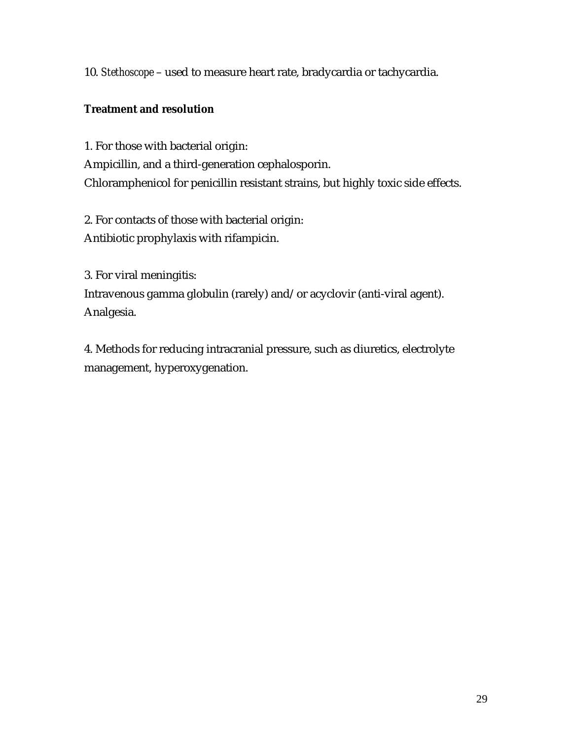10. *Stethoscope* – used to measure heart rate, bradycardia or tachycardia.

## **Treatment and resolution**

1. For those with bacterial origin: Ampicillin, and a third-generation cephalosporin. Chloramphenicol for penicillin resistant strains, but highly toxic side effects.

2. For contacts of those with bacterial origin: Antibiotic prophylaxis with rifampicin.

3. For viral meningitis: Intravenous gamma globulin (rarely) and/or acyclovir (anti-viral agent). Analgesia.

4. Methods for reducing intracranial pressure, such as diuretics, electrolyte management, hyperoxygenation.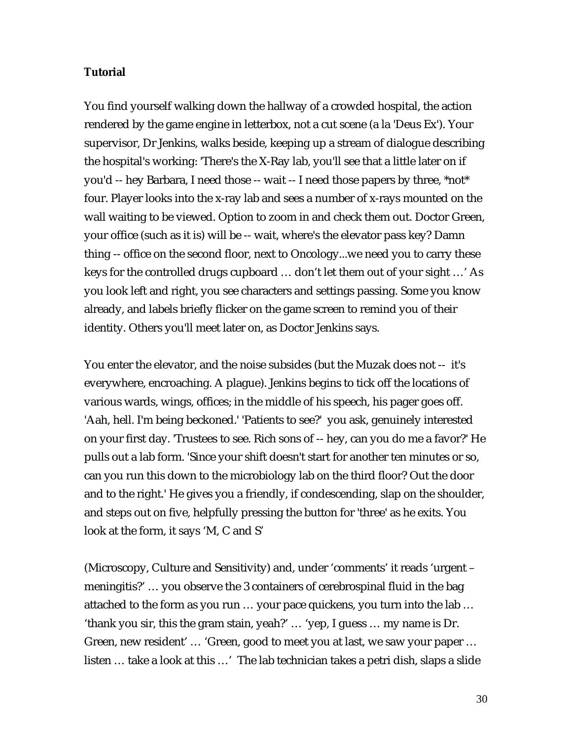#### **Tutorial**

You find yourself walking down the hallway of a crowded hospital, the action rendered by the game engine in letterbox, not a cut scene (a la 'Deus Ex'). Your supervisor, Dr Jenkins, walks beside, keeping up a stream of dialogue describing the hospital's working: 'There's the X-Ray lab, you'll see that a little later on if you'd -- hey Barbara, I need those -- wait -- I need those papers by three, \*not\* four. Player looks into the x-ray lab and sees a number of x-rays mounted on the wall waiting to be viewed. Option to zoom in and check them out. Doctor Green, your office (such as it is) will be -- wait, where's the elevator pass key? Damn thing -- office on the second floor, next to Oncology...we need you to carry these keys for the controlled drugs cupboard … don't let them out of your sight …' As you look left and right, you see characters and settings passing. Some you know already, and labels briefly flicker on the game screen to remind you of their identity. Others you'll meet later on, as Doctor Jenkins says.

You enter the elevator, and the noise subsides (but the Muzak does not -- it's everywhere, encroaching. A plague). Jenkins begins to tick off the locations of various wards, wings, offices; in the middle of his speech, his pager goes off. 'Aah, hell. I'm being beckoned.' 'Patients to see?' you ask, genuinely interested on your first day. 'Trustees to see. Rich sons of -- hey, can you do me a favor?' He pulls out a lab form. 'Since your shift doesn't start for another ten minutes or so, can you run this down to the microbiology lab on the third floor? Out the door and to the right.' He gives you a friendly, if condescending, slap on the shoulder, and steps out on five, helpfully pressing the button for 'three' as he exits. You look at the form, it says 'M, C and S'

(Microscopy, Culture and Sensitivity) and, under 'comments' it reads 'urgent – meningitis?' … you observe the 3 containers of cerebrospinal fluid in the bag attached to the form as you run … your pace quickens, you turn into the lab … 'thank you sir, this the gram stain, yeah?' … 'yep, I guess … my name is Dr. Green, new resident' … 'Green, good to meet you at last, we saw your paper … listen … take a look at this …' The lab technician takes a petri dish, slaps a slide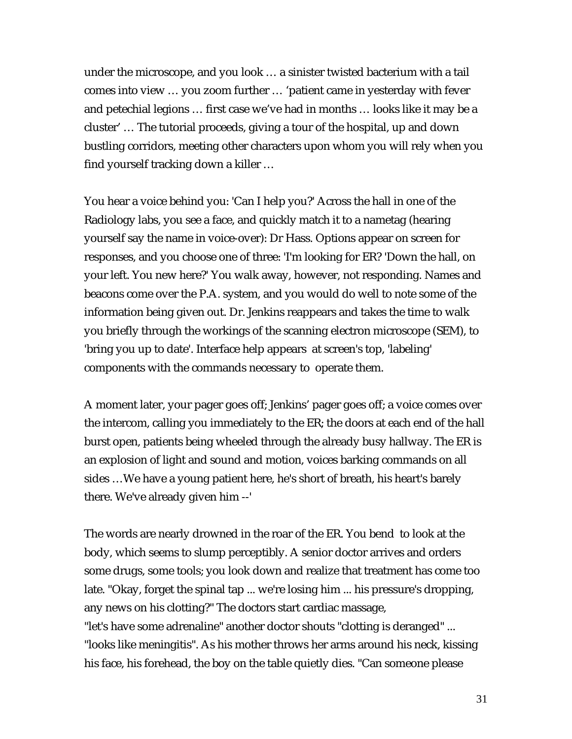under the microscope, and you look … a sinister twisted bacterium with a tail comes into view … you zoom further … 'patient came in yesterday with fever and petechial legions … first case we've had in months … looks like it may be a cluster' … The tutorial proceeds, giving a tour of the hospital, up and down bustling corridors, meeting other characters upon whom you will rely when you find yourself tracking down a killer …

You hear a voice behind you: 'Can I help you?' Across the hall in one of the Radiology labs, you see a face, and quickly match it to a nametag (hearing yourself say the name in voice-over): Dr Hass. Options appear on screen for responses, and you choose one of three: 'I'm looking for ER? 'Down the hall, on your left. You new here?' You walk away, however, not responding. Names and beacons come over the P.A. system, and you would do well to note some of the information being given out. Dr. Jenkins reappears and takes the time to walk you briefly through the workings of the scanning electron microscope (SEM), to 'bring you up to date'. Interface help appears at screen's top, 'labeling' components with the commands necessary to operate them.

A moment later, your pager goes off; Jenkins' pager goes off; a voice comes over the intercom, calling you immediately to the ER; the doors at each end of the hall burst open, patients being wheeled through the already busy hallway. The ER is an explosion of light and sound and motion, voices barking commands on all sides …We have a young patient here, he's short of breath, his heart's barely there. We've already given him --'

The words are nearly drowned in the roar of the ER. You bend to look at the body, which seems to slump perceptibly. A senior doctor arrives and orders some drugs, some tools; you look down and realize that treatment has come too late. "Okay, forget the spinal tap ... we're losing him ... his pressure's dropping, any news on his clotting?" The doctors start cardiac massage, "let's have some adrenaline" another doctor shouts "clotting is deranged" ... "looks like meningitis". As his mother throws her arms around his neck, kissing his face, his forehead, the boy on the table quietly dies. "Can someone please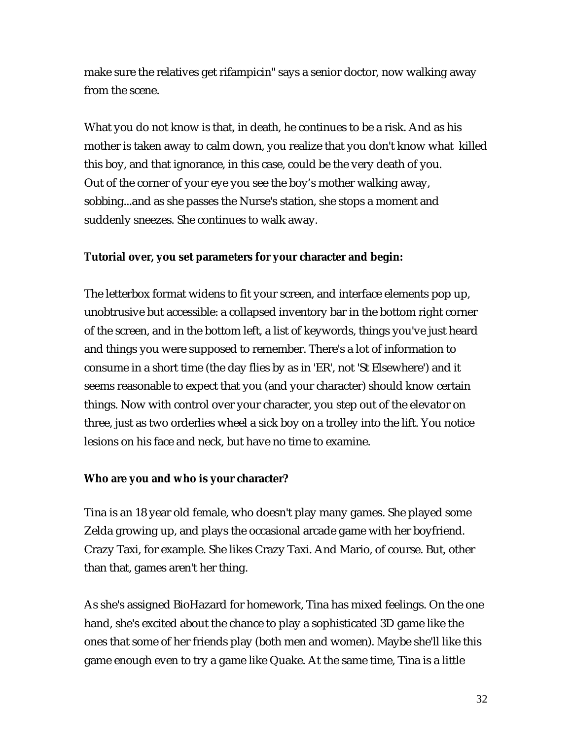make sure the relatives get rifampicin" says a senior doctor, now walking away from the scene.

What you do not know is that, in death, he continues to be a risk. And as his mother is taken away to calm down, you realize that you don't know what killed this boy, and that ignorance, in this case, could be the very death of you. Out of the corner of your eye you see the boy's mother walking away, sobbing...and as she passes the Nurse's station, she stops a moment and suddenly sneezes. She continues to walk away.

#### **Tutorial over, you set parameters for your character and begin:**

The letterbox format widens to fit your screen, and interface elements pop up, unobtrusive but accessible: a collapsed inventory bar in the bottom right corner of the screen, and in the bottom left, a list of keywords, things you've just heard and things you were supposed to remember. There's a lot of information to consume in a short time (the day flies by as in 'ER', not 'St Elsewhere') and it seems reasonable to expect that you (and your character) should know certain things. Now with control over your character, you step out of the elevator on three, just as two orderlies wheel a sick boy on a trolley into the lift. You notice lesions on his face and neck, but have no time to examine.

#### **Who are you and who is your character?**

Tina is an 18 year old female, who doesn't play many games. She played some Zelda growing up, and plays the occasional arcade game with her boyfriend. Crazy Taxi, for example. She likes Crazy Taxi. And Mario, of course. But, other than that, games aren't her thing.

As she's assigned BioHazard for homework, Tina has mixed feelings. On the one hand, she's excited about the chance to play a sophisticated 3D game like the ones that some of her friends play (both men and women). Maybe she'll like this game enough even to try a game like Quake. At the same time, Tina is a little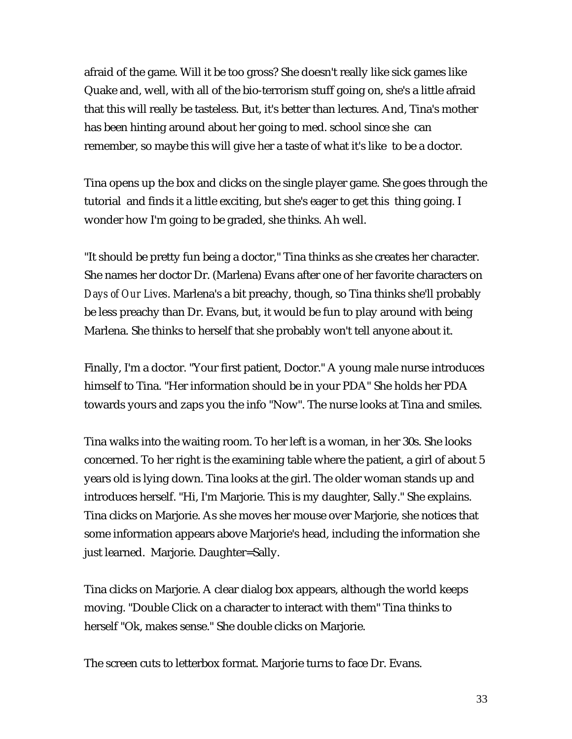afraid of the game. Will it be too gross? She doesn't really like sick games like Quake and, well, with all of the bio-terrorism stuff going on, she's a little afraid that this will really be tasteless. But, it's better than lectures. And, Tina's mother has been hinting around about her going to med. school since she can remember, so maybe this will give her a taste of what it's like to be a doctor.

Tina opens up the box and clicks on the single player game. She goes through the tutorial and finds it a little exciting, but she's eager to get this thing going. I wonder how I'm going to be graded, she thinks. Ah well.

"It should be pretty fun being a doctor," Tina thinks as she creates her character. She names her doctor Dr. (Marlena) Evans after one of her favorite characters on *Days of Our Lives*. Marlena's a bit preachy, though, so Tina thinks she'll probably be less preachy than Dr. Evans, but, it would be fun to play around with being Marlena. She thinks to herself that she probably won't tell anyone about it.

Finally, I'm a doctor. "Your first patient, Doctor." A young male nurse introduces himself to Tina. "Her information should be in your PDA" She holds her PDA towards yours and zaps you the info "Now". The nurse looks at Tina and smiles.

Tina walks into the waiting room. To her left is a woman, in her 30s. She looks concerned. To her right is the examining table where the patient, a girl of about 5 years old is lying down. Tina looks at the girl. The older woman stands up and introduces herself. "Hi, I'm Marjorie. This is my daughter, Sally." She explains. Tina clicks on Marjorie. As she moves her mouse over Marjorie, she notices that some information appears above Marjorie's head, including the information she just learned. Marjorie. Daughter=Sally.

Tina clicks on Marjorie. A clear dialog box appears, although the world keeps moving. "Double Click on a character to interact with them" Tina thinks to herself "Ok, makes sense." She double clicks on Marjorie.

The screen cuts to letterbox format. Marjorie turns to face Dr. Evans.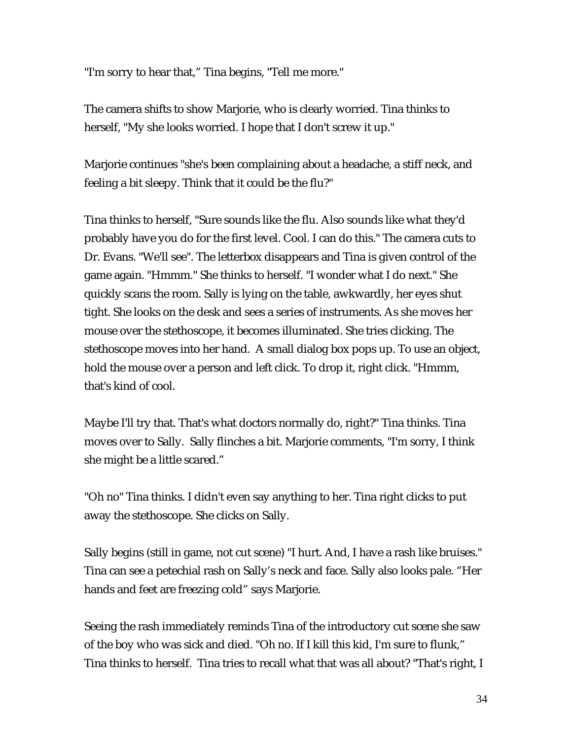"I'm sorry to hear that," Tina begins, "Tell me more."

The camera shifts to show Marjorie, who is clearly worried. Tina thinks to herself, "My she looks worried. I hope that I don't screw it up."

Marjorie continues "she's been complaining about a headache, a stiff neck, and feeling a bit sleepy. Think that it could be the flu?"

Tina thinks to herself, "Sure sounds like the flu. Also sounds like what they'd probably have you do for the first level. Cool. I can do this." The camera cuts to Dr. Evans. "We'll see". The letterbox disappears and Tina is given control of the game again. "Hmmm." She thinks to herself. "I wonder what I do next." She quickly scans the room. Sally is lying on the table, awkwardly, her eyes shut tight. She looks on the desk and sees a series of instruments. As she moves her mouse over the stethoscope, it becomes illuminated. She tries clicking. The stethoscope moves into her hand. A small dialog box pops up. To use an object, hold the mouse over a person and left click. To drop it, right click. "Hmmm, that's kind of cool.

Maybe I'll try that. That's what doctors normally do, right?" Tina thinks. Tina moves over to Sally. Sally flinches a bit. Marjorie comments, "I'm sorry, I think she might be a little scared."

"Oh no" Tina thinks. I didn't even say anything to her. Tina right clicks to put away the stethoscope. She clicks on Sally.

Sally begins (still in game, not cut scene) "I hurt. And, I have a rash like bruises." Tina can see a petechial rash on Sally's neck and face. Sally also looks pale. "Her hands and feet are freezing cold" says Marjorie.

Seeing the rash immediately reminds Tina of the introductory cut scene she saw of the boy who was sick and died. "Oh no. If I kill this kid, I'm sure to flunk," Tina thinks to herself. Tina tries to recall what that was all about? "That's right, I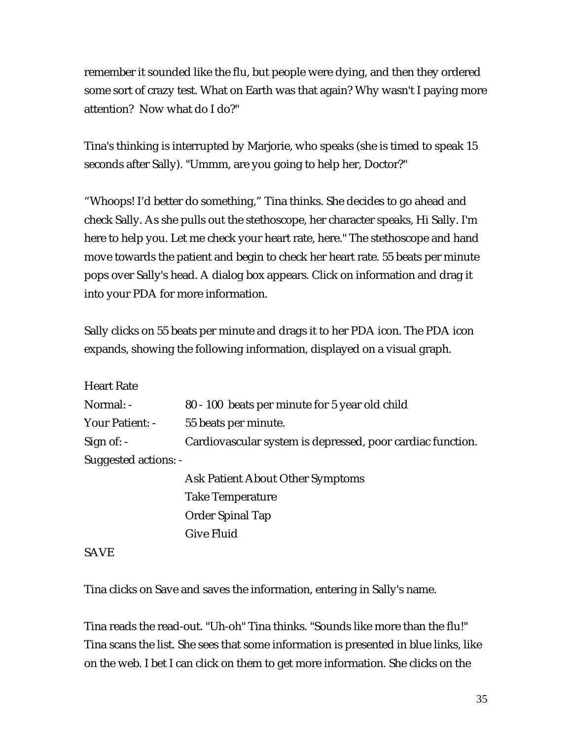remember it sounded like the flu, but people were dying, and then they ordered some sort of crazy test. What on Earth was that again? Why wasn't I paying more attention? Now what do I do?"

Tina's thinking is interrupted by Marjorie, who speaks (she is timed to speak 15 seconds after Sally). "Ummm, are you going to help her, Doctor?"

"Whoops! I'd better do something," Tina thinks. She decides to go ahead and check Sally. As she pulls out the stethoscope, her character speaks, Hi Sally. I'm here to help you. Let me check your heart rate, here." The stethoscope and hand move towards the patient and begin to check her heart rate. 55 beats per minute pops over Sally's head. A dialog box appears. Click on information and drag it into your PDA for more information.

Sally clicks on 55 beats per minute and drags it to her PDA icon. The PDA icon expands, showing the following information, displayed on a visual graph.

Heart Rate

| Normal: -            | 80 - 100 beats per minute for 5 year old child             |
|----------------------|------------------------------------------------------------|
| Your Patient: -      | 55 beats per minute.                                       |
| Sign of: $-$         | Cardiovascular system is depressed, poor cardiac function. |
| Suggested actions: - |                                                            |

Ask Patient About Other Symptoms Take Temperature Order Spinal Tap Give Fluid

SAVE

Tina clicks on Save and saves the information, entering in Sally's name.

Tina reads the read-out. "Uh-oh" Tina thinks. "Sounds like more than the flu!" Tina scans the list. She sees that some information is presented in blue links, like on the web. I bet I can click on them to get more information. She clicks on the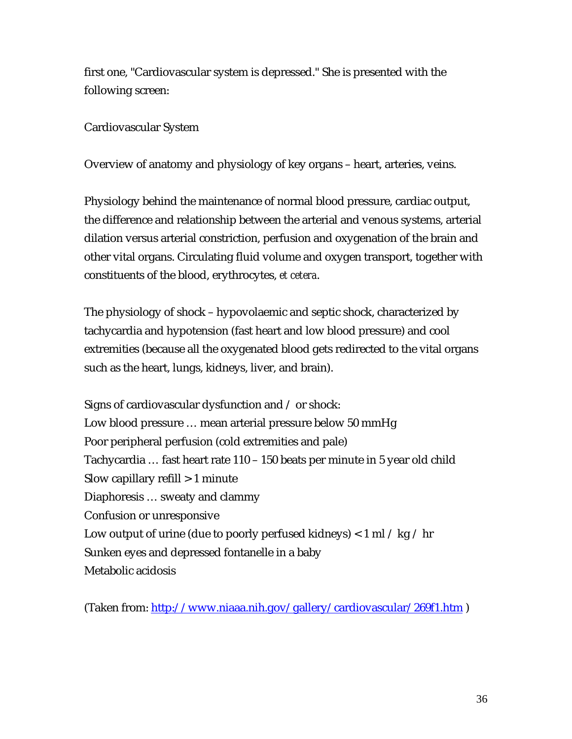first one, "Cardiovascular system is depressed." She is presented with the following screen:

Cardiovascular System

Overview of anatomy and physiology of key organs – heart, arteries, veins.

Physiology behind the maintenance of normal blood pressure, cardiac output, the difference and relationship between the arterial and venous systems, arterial dilation versus arterial constriction, perfusion and oxygenation of the brain and other vital organs. Circulating fluid volume and oxygen transport, together with constituents of the blood, erythrocytes, *et cetera*.

The physiology of shock – hypovolaemic and septic shock, characterized by tachycardia and hypotension (fast heart and low blood pressure) and cool extremities (because all the oxygenated blood gets redirected to the vital organs such as the heart, lungs, kidneys, liver, and brain).

Signs of cardiovascular dysfunction and / or shock: Low blood pressure … mean arterial pressure below 50 mmHg Poor peripheral perfusion (cold extremities and pale) Tachycardia … fast heart rate 110 – 150 beats per minute in 5 year old child Slow capillary refill > 1 minute Diaphoresis … sweaty and clammy Confusion or unresponsive Low output of urine (due to poorly perfused kidneys)  $< 1$  ml / kg / hr Sunken eyes and depressed fontanelle in a baby Metabolic acidosis

(Taken from: http://www.niaaa.nih.gov/gallery/cardiovascular/269f1.htm )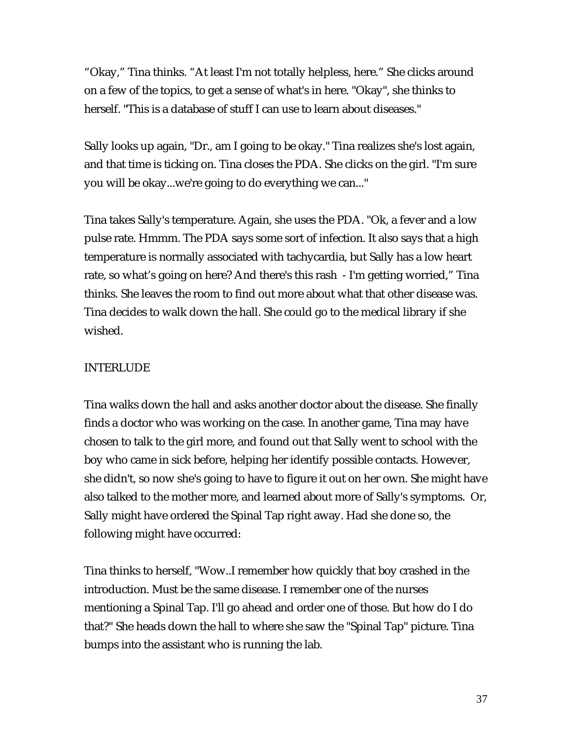"Okay," Tina thinks. "At least I'm not totally helpless, here." She clicks around on a few of the topics, to get a sense of what's in here. "Okay", she thinks to herself. "This is a database of stuff I can use to learn about diseases."

Sally looks up again, "Dr., am I going to be okay." Tina realizes she's lost again, and that time is ticking on. Tina closes the PDA. She clicks on the girl. "I'm sure you will be okay...we're going to do everything we can..."

Tina takes Sally's temperature. Again, she uses the PDA. "Ok, a fever and a low pulse rate. Hmmm. The PDA says some sort of infection. It also says that a high temperature is normally associated with tachycardia, but Sally has a low heart rate, so what's going on here? And there's this rash - I'm getting worried," Tina thinks. She leaves the room to find out more about what that other disease was. Tina decides to walk down the hall. She could go to the medical library if she wished.

## INTERLUDE

Tina walks down the hall and asks another doctor about the disease. She finally finds a doctor who was working on the case. In another game, Tina may have chosen to talk to the girl more, and found out that Sally went to school with the boy who came in sick before, helping her identify possible contacts. However, she didn't, so now she's going to have to figure it out on her own. She might have also talked to the mother more, and learned about more of Sally's symptoms. Or, Sally might have ordered the Spinal Tap right away. Had she done so, the following might have occurred:

Tina thinks to herself, "Wow..I remember how quickly that boy crashed in the introduction. Must be the same disease. I remember one of the nurses mentioning a Spinal Tap. I'll go ahead and order one of those. But how do I do that?" She heads down the hall to where she saw the "Spinal Tap" picture. Tina bumps into the assistant who is running the lab.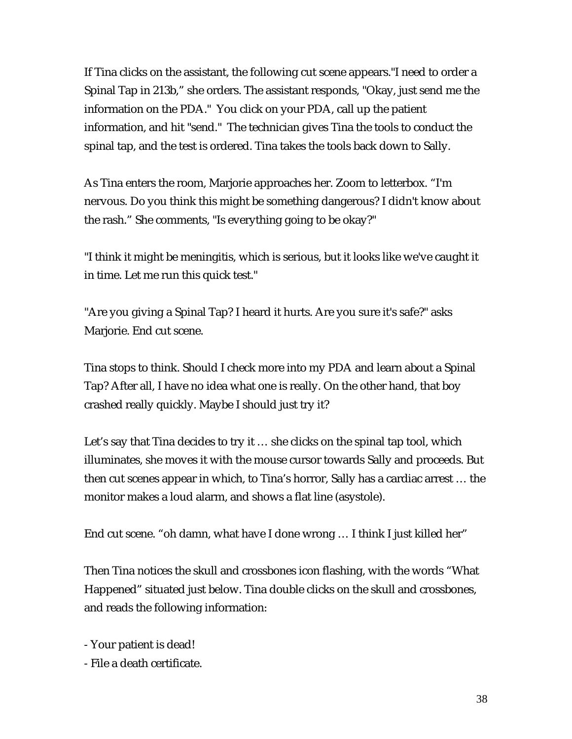If Tina clicks on the assistant, the following cut scene appears."I need to order a Spinal Tap in 213b," she orders. The assistant responds, "Okay, just send me the information on the PDA." You click on your PDA, call up the patient information, and hit "send." The technician gives Tina the tools to conduct the spinal tap, and the test is ordered. Tina takes the tools back down to Sally.

As Tina enters the room, Marjorie approaches her. Zoom to letterbox. "I'm nervous. Do you think this might be something dangerous? I didn't know about the rash." She comments, "Is everything going to be okay?"

"I think it might be meningitis, which is serious, but it looks like we've caught it in time. Let me run this quick test."

"Are you giving a Spinal Tap? I heard it hurts. Are you sure it's safe?" asks Marjorie. End cut scene.

Tina stops to think. Should I check more into my PDA and learn about a Spinal Tap? After all, I have no idea what one is really. On the other hand, that boy crashed really quickly. Maybe I should just try it?

Let's say that Tina decides to try it … she clicks on the spinal tap tool, which illuminates, she moves it with the mouse cursor towards Sally and proceeds. But then cut scenes appear in which, to Tina's horror, Sally has a cardiac arrest … the monitor makes a loud alarm, and shows a flat line (asystole).

End cut scene. "oh damn, what have I done wrong … I think I just killed her"

Then Tina notices the skull and crossbones icon flashing, with the words "What Happened" situated just below. Tina double clicks on the skull and crossbones, and reads the following information:

- Your patient is dead!

- File a death certificate.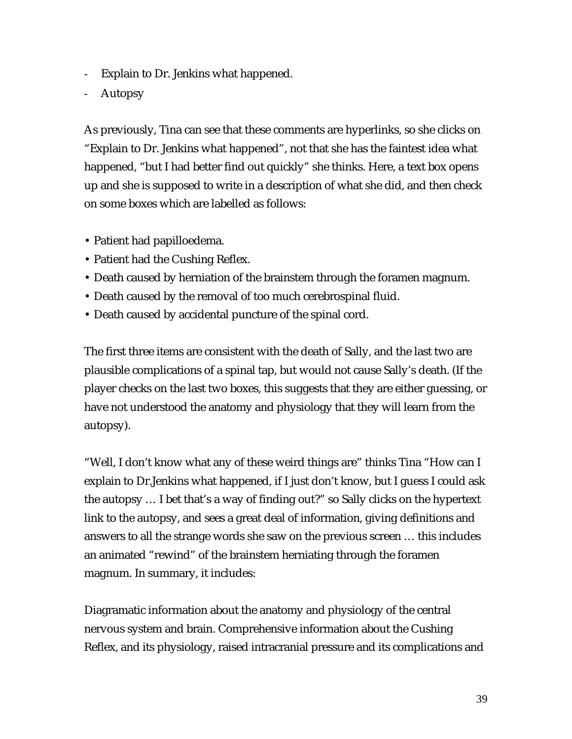- Explain to Dr. Jenkins what happened.
- **Autopsy**

As previously, Tina can see that these comments are hyperlinks, so she clicks on "Explain to Dr. Jenkins what happened", not that she has the faintest idea what happened, "but I had better find out quickly" she thinks. Here, a text box opens up and she is supposed to write in a description of what she did, and then check on some boxes which are labelled as follows:

- Patient had papilloedema.
- Patient had the Cushing Reflex.
- Death caused by herniation of the brainstem through the foramen magnum.
- Death caused by the removal of too much cerebrospinal fluid.
- Death caused by accidental puncture of the spinal cord.

The first three items are consistent with the death of Sally, and the last two are plausible complications of a spinal tap, but would not cause Sally's death. (If the player checks on the last two boxes, this suggests that they are either guessing, or have not understood the anatomy and physiology that they will learn from the autopsy).

"Well, I don't know what any of these weird things are" thinks Tina "How can I explain to Dr.Jenkins what happened, if I just don't know, but I guess I could ask the autopsy … I bet that's a way of finding out?" so Sally clicks on the hypertext link to the autopsy, and sees a great deal of information, giving definitions and answers to all the strange words she saw on the previous screen … this includes an animated "rewind" of the brainstem herniating through the foramen magnum. In summary, it includes:

Diagramatic information about the anatomy and physiology of the central nervous system and brain. Comprehensive information about the Cushing Reflex, and its physiology, raised intracranial pressure and its complications and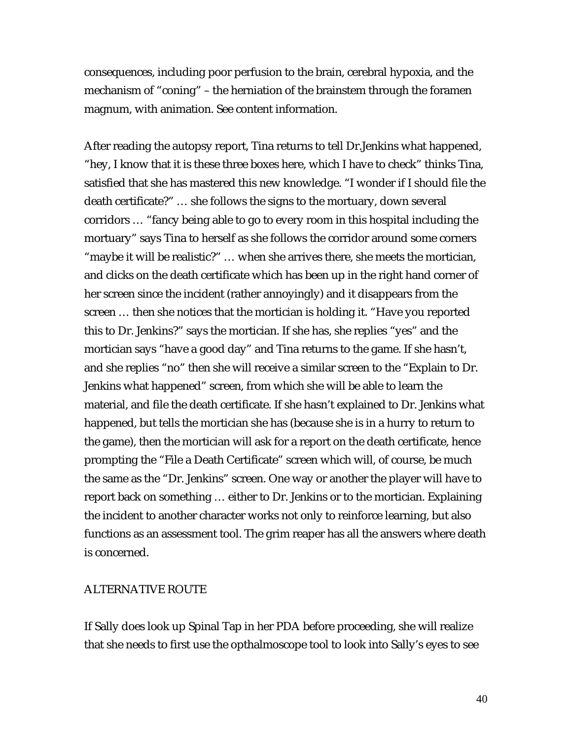consequences, including poor perfusion to the brain, cerebral hypoxia, and the mechanism of "coning" – the herniation of the brainstem through the foramen magnum, with animation. See content information.

After reading the autopsy report, Tina returns to tell Dr.Jenkins what happened, "hey, I know that it is these three boxes here, which I have to check" thinks Tina, satisfied that she has mastered this new knowledge. "I wonder if I should file the death certificate?" … she follows the signs to the mortuary, down several corridors … "fancy being able to go to every room in this hospital including the mortuary" says Tina to herself as she follows the corridor around some corners "maybe it will be realistic?" … when she arrives there, she meets the mortician, and clicks on the death certificate which has been up in the right hand corner of her screen since the incident (rather annoyingly) and it disappears from the screen … then she notices that the mortician is holding it. "Have you reported this to Dr. Jenkins?" says the mortician. If she has, she replies "yes" and the mortician says "have a good day" and Tina returns to the game. If she hasn't, and she replies "no" then she will receive a similar screen to the "Explain to Dr. Jenkins what happened" screen, from which she will be able to learn the material, and file the death certificate. If she hasn't explained to Dr. Jenkins what happened, but tells the mortician she has (because she is in a hurry to return to the game), then the mortician will ask for a report on the death certificate, hence prompting the "File a Death Certificate" screen which will, of course, be much the same as the "Dr. Jenkins" screen. One way or another the player will have to report back on something … either to Dr. Jenkins or to the mortician. Explaining the incident to another character works not only to reinforce learning, but also functions as an assessment tool. The grim reaper has all the answers where death is concerned.

#### ALTERNATIVE ROUTE

If Sally does look up Spinal Tap in her PDA before proceeding, she will realize that she needs to first use the opthalmoscope tool to look into Sally's eyes to see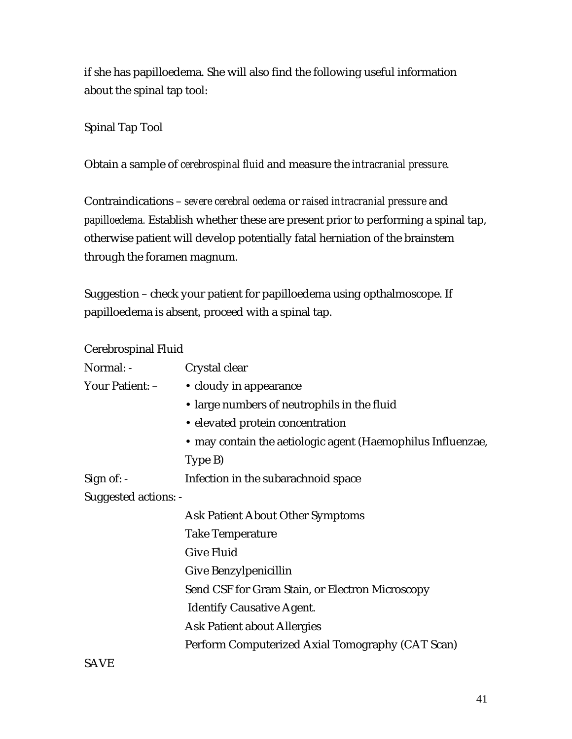if she has papilloedema. She will also find the following useful information about the spinal tap tool:

#### Spinal Tap Tool

Obtain a sample of *cerebrospinal fluid* and measure the *intracranial pressure.*

Contraindications – *severe cerebral oedema* or *raised intracranial pressure* and *papilloedema.* Establish whether these are present prior to performing a spinal tap, otherwise patient will develop potentially fatal herniation of the brainstem through the foramen magnum.

Suggestion – check your patient for papilloedema using opthalmoscope. If papilloedema is absent, proceed with a spinal tap.

| Cerebrospinal Fluid         |                                                             |
|-----------------------------|-------------------------------------------------------------|
| Normal: -                   | Crystal clear                                               |
| Your Patient: -             | • cloudy in appearance                                      |
|                             | • large numbers of neutrophils in the fluid                 |
|                             | • elevated protein concentration                            |
|                             | • may contain the aetiologic agent (Haemophilus Influenzae, |
|                             | Type B)                                                     |
| Sign of: -                  | Infection in the subarach noid space                        |
| <b>Suggested actions: -</b> |                                                             |
|                             | <b>Ask Patient About Other Symptoms</b>                     |
|                             | <b>Take Temperature</b>                                     |
|                             | <b>Give Fluid</b>                                           |
|                             | Give Benzylpenicillin                                       |
|                             | Send CSF for Gram Stain, or Electron Microscopy             |
|                             | <b>Identify Causative Agent.</b>                            |
|                             | <b>Ask Patient about Allergies</b>                          |
|                             | Perform Computerized Axial Tomography (CAT Scan)            |
|                             |                                                             |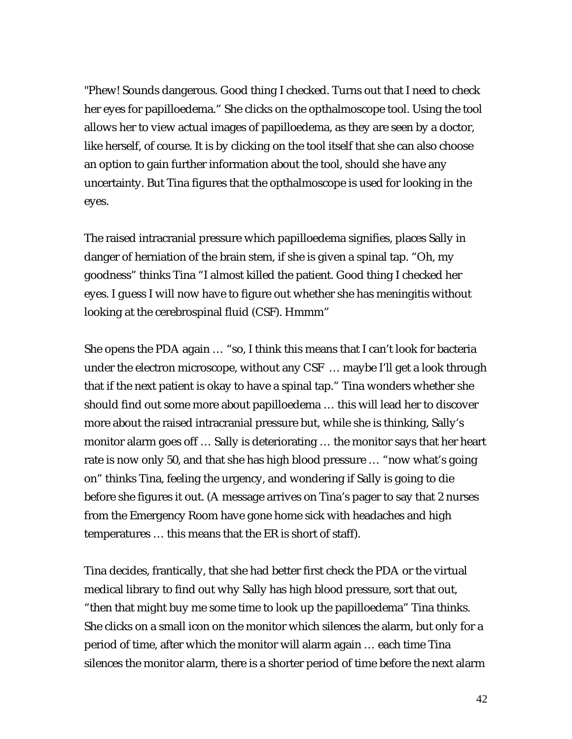"Phew! Sounds dangerous. Good thing I checked. Turns out that I need to check her eyes for papilloedema." She clicks on the opthalmoscope tool. Using the tool allows her to view actual images of papilloedema, as they are seen by a doctor, like herself, of course. It is by clicking on the tool itself that she can also choose an option to gain further information about the tool, should she have any uncertainty. But Tina figures that the opthalmoscope is used for looking in the eyes.

The raised intracranial pressure which papilloedema signifies, places Sally in danger of herniation of the brain stem, if she is given a spinal tap. "Oh, my goodness" thinks Tina "I almost killed the patient. Good thing I checked her eyes. I guess I will now have to figure out whether she has meningitis without looking at the cerebrospinal fluid (CSF). Hmmm"

She opens the PDA again … "so, I think this means that I can't look for bacteria under the electron microscope, without any CSF … maybe I'll get a look through that if the next patient is okay to have a spinal tap." Tina wonders whether she should find out some more about papilloedema … this will lead her to discover more about the raised intracranial pressure but, while she is thinking, Sally's monitor alarm goes off … Sally is deteriorating … the monitor says that her heart rate is now only 50, and that she has high blood pressure … "now what's going on" thinks Tina, feeling the urgency, and wondering if Sally is going to die before she figures it out. (A message arrives on Tina's pager to say that 2 nurses from the Emergency Room have gone home sick with headaches and high temperatures … this means that the ER is short of staff).

Tina decides, frantically, that she had better first check the PDA or the virtual medical library to find out why Sally has high blood pressure, sort that out, "then that might buy me some time to look up the papilloedema" Tina thinks. She clicks on a small icon on the monitor which silences the alarm, but only for a period of time, after which the monitor will alarm again … each time Tina silences the monitor alarm, there is a shorter period of time before the next alarm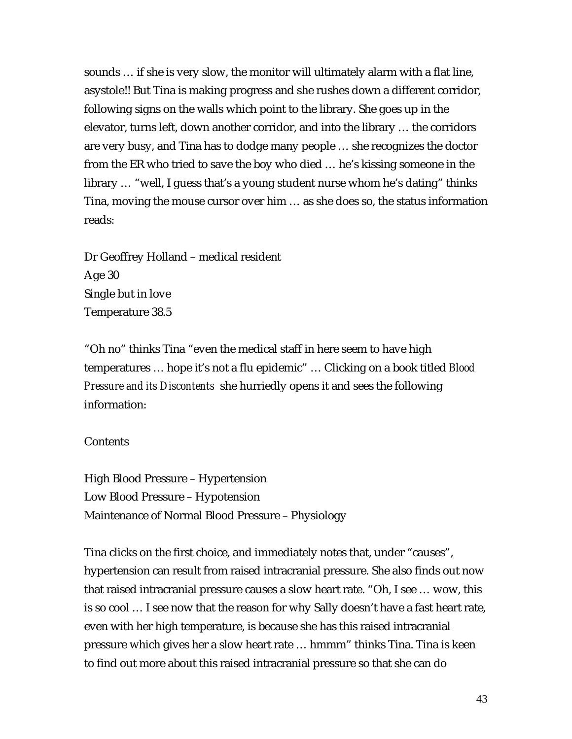sounds … if she is very slow, the monitor will ultimately alarm with a flat line, asystole!! But Tina is making progress and she rushes down a different corridor, following signs on the walls which point to the library. She goes up in the elevator, turns left, down another corridor, and into the library … the corridors are very busy, and Tina has to dodge many people … she recognizes the doctor from the ER who tried to save the boy who died … he's kissing someone in the library … "well, I guess that's a young student nurse whom he's dating" thinks Tina, moving the mouse cursor over him … as she does so, the status information reads:

Dr Geoffrey Holland – medical resident Age 30 Single but in love Temperature 38.5

"Oh no" thinks Tina "even the medical staff in here seem to have high temperatures … hope it's not a flu epidemic" … Clicking on a book titled *Blood Pressure and its Discontents* she hurriedly opens it and sees the following information:

#### **Contents**

High Blood Pressure – Hypertension Low Blood Pressure – Hypotension Maintenance of Normal Blood Pressure – Physiology

Tina clicks on the first choice, and immediately notes that, under "causes", hypertension can result from raised intracranial pressure. She also finds out now that raised intracranial pressure causes a slow heart rate. "Oh, I see … wow, this is so cool … I see now that the reason for why Sally doesn't have a fast heart rate, even with her high temperature, is because she has this raised intracranial pressure which gives her a slow heart rate … hmmm" thinks Tina. Tina is keen to find out more about this raised intracranial pressure so that she can do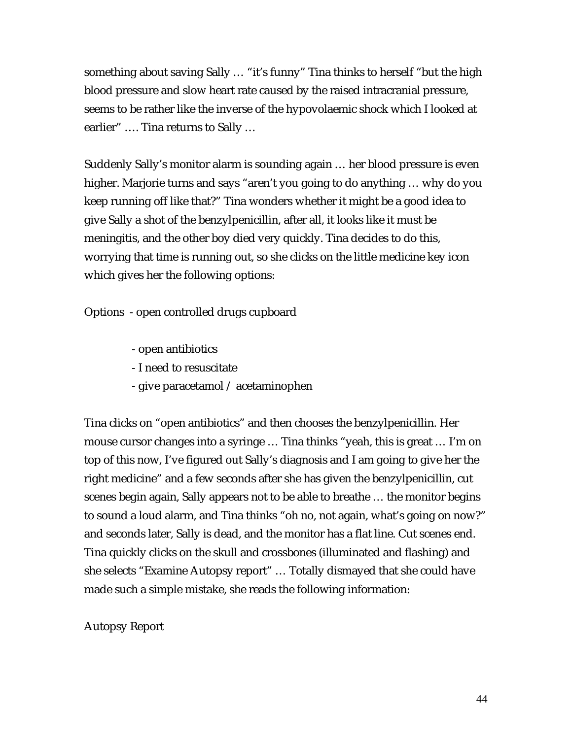something about saving Sally … "it's funny" Tina thinks to herself "but the high blood pressure and slow heart rate caused by the raised intracranial pressure, seems to be rather like the inverse of the hypovolaemic shock which I looked at earlier" …. Tina returns to Sally …

Suddenly Sally's monitor alarm is sounding again … her blood pressure is even higher. Marjorie turns and says "aren't you going to do anything … why do you keep running off like that?" Tina wonders whether it might be a good idea to give Sally a shot of the benzylpenicillin, after all, it looks like it must be meningitis, and the other boy died very quickly. Tina decides to do this, worrying that time is running out, so she clicks on the little medicine key icon which gives her the following options:

Options - open controlled drugs cupboard

- open antibiotics
- I need to resuscitate
- give paracetamol / acetaminophen

Tina clicks on "open antibiotics" and then chooses the benzylpenicillin. Her mouse cursor changes into a syringe … Tina thinks "yeah, this is great … I'm on top of this now, I've figured out Sally's diagnosis and I am going to give her the right medicine" and a few seconds after she has given the benzylpenicillin, cut scenes begin again, Sally appears not to be able to breathe … the monitor begins to sound a loud alarm, and Tina thinks "oh no, not again, what's going on now?" and seconds later, Sally is dead, and the monitor has a flat line. Cut scenes end. Tina quickly clicks on the skull and crossbones (illuminated and flashing) and she selects "Examine Autopsy report" … Totally dismayed that she could have made such a simple mistake, she reads the following information:

#### Autopsy Report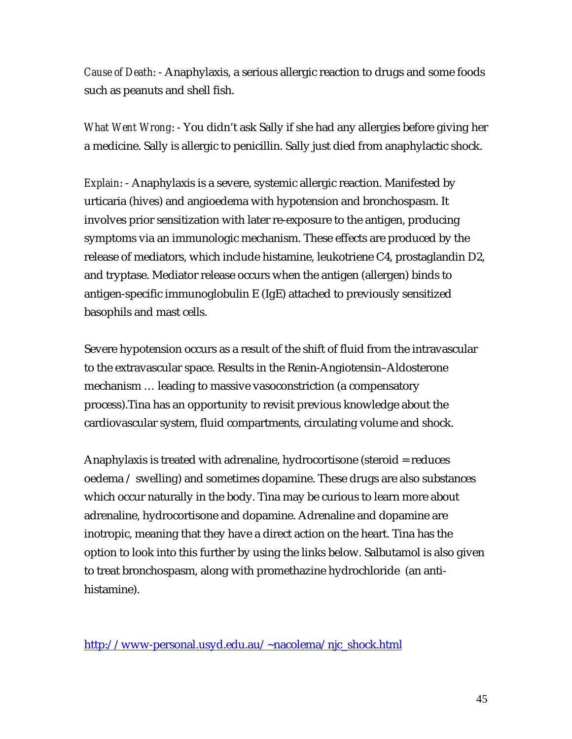*Cause of Death*: - Anaphylaxis, a serious allergic reaction to drugs and some foods such as peanuts and shell fish.

*What Went Wrong*: - You didn't ask Sally if she had any allergies before giving her a medicine. Sally is allergic to penicillin. Sally just died from anaphylactic shock.

*Explain*: - Anaphylaxis is a severe, systemic allergic reaction. Manifested by urticaria (hives) and angioedema with hypotension and bronchospasm. It involves prior sensitization with later re-exposure to the antigen, producing symptoms via an immunologic mechanism. These effects are produced by the release of mediators, which include histamine, leukotriene C4, prostaglandin D2, and tryptase. Mediator release occurs when the antigen (allergen) binds to antigen-specific immunoglobulin E (IgE) attached to previously sensitized basophils and mast cells.

Severe hypotension occurs as a result of the shift of fluid from the intravascular to the extravascular space. Results in the Renin-Angiotensin–Aldosterone mechanism … leading to massive vasoconstriction (a compensatory process).Tina has an opportunity to revisit previous knowledge about the cardiovascular system, fluid compartments, circulating volume and shock.

Anaphylaxis is treated with adrenaline, hydrocortisone (steroid = reduces oedema / swelling) and sometimes dopamine. These drugs are also substances which occur naturally in the body. Tina may be curious to learn more about adrenaline, hydrocortisone and dopamine. Adrenaline and dopamine are inotropic, meaning that they have a direct action on the heart. Tina has the option to look into this further by using the links below. Salbutamol is also given to treat bronchospasm, along with promethazine hydrochloride (an antihistamine).

http://www-personal.usyd.edu.au/~nacolema/njc\_shock.html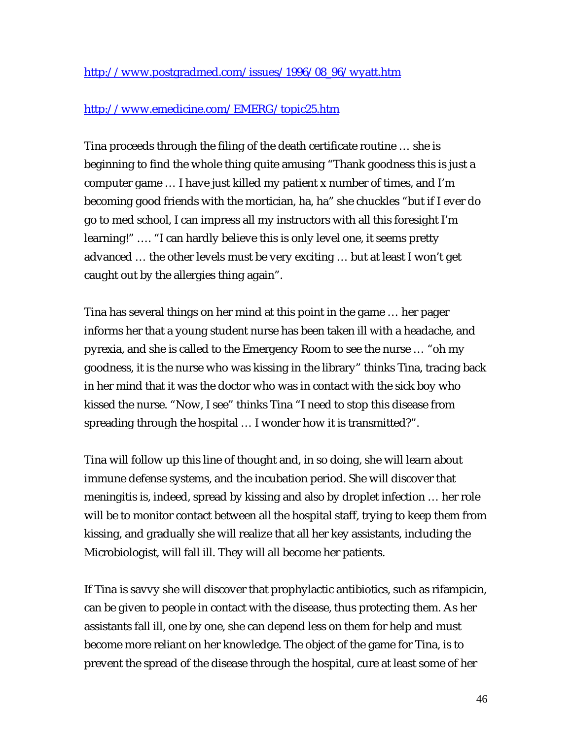## http://www.emedicine.com/EMERG/topic25.htm

Tina proceeds through the filing of the death certificate routine … she is beginning to find the whole thing quite amusing "Thank goodness this is just a computer game … I have just killed my patient x number of times, and I'm becoming good friends with the mortician, ha, ha" she chuckles "but if I ever do go to med school, I can impress all my instructors with all this foresight I'm learning!" …. "I can hardly believe this is only level one, it seems pretty advanced … the other levels must be very exciting … but at least I won't get caught out by the allergies thing again".

Tina has several things on her mind at this point in the game … her pager informs her that a young student nurse has been taken ill with a headache, and pyrexia, and she is called to the Emergency Room to see the nurse … "oh my goodness, it is the nurse who was kissing in the library" thinks Tina, tracing back in her mind that it was the doctor who was in contact with the sick boy who kissed the nurse. "Now, I see" thinks Tina "I need to stop this disease from spreading through the hospital … I wonder how it is transmitted?".

Tina will follow up this line of thought and, in so doing, she will learn about immune defense systems, and the incubation period. She will discover that meningitis is, indeed, spread by kissing and also by droplet infection … her role will be to monitor contact between all the hospital staff, trying to keep them from kissing, and gradually she will realize that all her key assistants, including the Microbiologist, will fall ill. They will all become her patients.

If Tina is savvy she will discover that prophylactic antibiotics, such as rifampicin, can be given to people in contact with the disease, thus protecting them. As her assistants fall ill, one by one, she can depend less on them for help and must become more reliant on her knowledge. The object of the game for Tina, is to prevent the spread of the disease through the hospital, cure at least some of her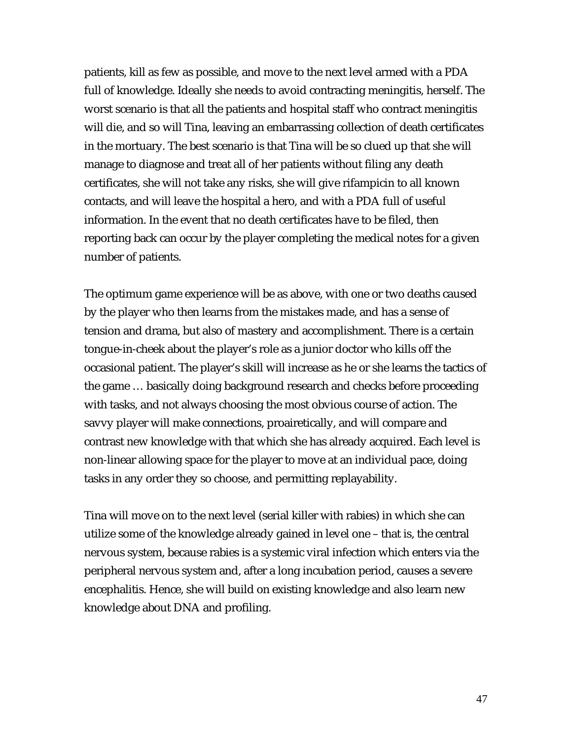patients, kill as few as possible, and move to the next level armed with a PDA full of knowledge. Ideally she needs to avoid contracting meningitis, herself. The worst scenario is that all the patients and hospital staff who contract meningitis will die, and so will Tina, leaving an embarrassing collection of death certificates in the mortuary. The best scenario is that Tina will be so clued up that she will manage to diagnose and treat all of her patients without filing any death certificates, she will not take any risks, she will give rifampicin to all known contacts, and will leave the hospital a hero, and with a PDA full of useful information. In the event that no death certificates have to be filed, then reporting back can occur by the player completing the medical notes for a given number of patients.

The optimum game experience will be as above, with one or two deaths caused by the player who then learns from the mistakes made, and has a sense of tension and drama, but also of mastery and accomplishment. There is a certain tongue-in-cheek about the player's role as a junior doctor who kills off the occasional patient. The player's skill will increase as he or she learns the tactics of the game … basically doing background research and checks before proceeding with tasks, and not always choosing the most obvious course of action. The savvy player will make connections, proairetically, and will compare and contrast new knowledge with that which she has already acquired. Each level is non-linear allowing space for the player to move at an individual pace, doing tasks in any order they so choose, and permitting replayability.

Tina will move on to the next level (serial killer with rabies) in which she can utilize some of the knowledge already gained in level one – that is, the central nervous system, because rabies is a systemic viral infection which enters via the peripheral nervous system and, after a long incubation period, causes a severe encephalitis. Hence, she will build on existing knowledge and also learn new knowledge about DNA and profiling.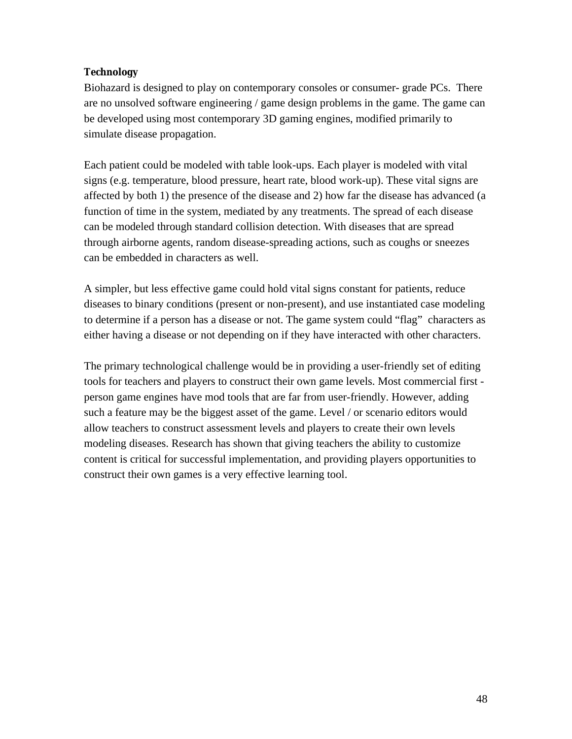#### **Technology**

Biohazard is designed to play on contemporary consoles or consumer- grade PCs. There are no unsolved software engineering / game design problems in the game. The game can be developed using most contemporary 3D gaming engines, modified primarily to simulate disease propagation.

Each patient could be modeled with table look-ups. Each player is modeled with vital signs (e.g. temperature, blood pressure, heart rate, blood work-up). These vital signs are affected by both 1) the presence of the disease and 2) how far the disease has advanced (a function of time in the system, mediated by any treatments. The spread of each disease can be modeled through standard collision detection. With diseases that are spread through airborne agents, random disease-spreading actions, such as coughs or sneezes can be embedded in characters as well.

A simpler, but less effective game could hold vital signs constant for patients, reduce diseases to binary conditions (present or non-present), and use instantiated case modeling to determine if a person has a disease or not. The game system could "flag" characters as either having a disease or not depending on if they have interacted with other characters.

The primary technological challenge would be in providing a user-friendly set of editing tools for teachers and players to construct their own game levels. Most commercial first person game engines have mod tools that are far from user-friendly. However, adding such a feature may be the biggest asset of the game. Level / or scenario editors would allow teachers to construct assessment levels and players to create their own levels modeling diseases. Research has shown that giving teachers the ability to customize content is critical for successful implementation, and providing players opportunities to construct their own games is a very effective learning tool.